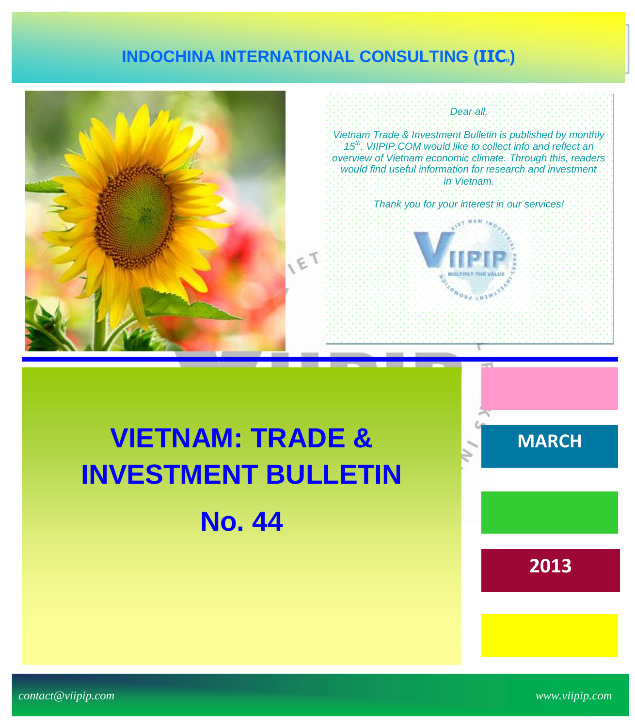#### $K_{11}$  and  $K_{12}$  is a vietnamental  $K_{11}$  minimized 10,  $K_{12}$  minimized 10,  $K_{11}$  minimized 10,  $K_{12}$ **INDOCHINA INTERNATIONAL CONSULTING (IIC.)**

<span id="page-0-0"></span>

*Dear all,*

*Merry Christmas!!!*<br> *Media in Vietnam.*<br> *In Vietnam. Vietnam Trade & Investment Bulletin is published by monthly 15th. VIIPIP.COM would like to collect info and reflect an overview of Vietnam economic climate. Through this, readers in Vietnam.*

*Thank you for your interest in our services!* 



# **VIETNAM: TRADE & INVESTMENT BULLETIN No. 44**

**MARCH**

**2013**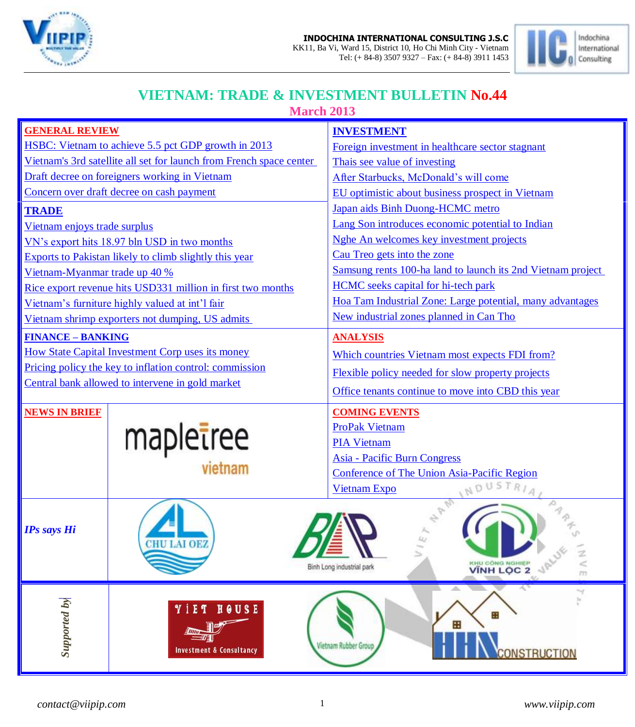



# **VIETNAM: TRADE & INVESTMENT BULLETIN No.44 March 2013**

|                                                                     | <b>March 2015</b>                                                  |                                                                                        |  |
|---------------------------------------------------------------------|--------------------------------------------------------------------|----------------------------------------------------------------------------------------|--|
| <b>GENERAL REVIEW</b>                                               |                                                                    | <b>INVESTMENT</b>                                                                      |  |
| HSBC: Vietnam to achieve 5.5 pct GDP growth in 2013                 |                                                                    | Foreign investment in healthcare sector stagnant                                       |  |
| Vietnam's 3rd satellite all set for launch from French space center |                                                                    | Thais see value of investing                                                           |  |
| Draft decree on foreigners working in Vietnam                       |                                                                    | After Starbucks, McDonald's will come                                                  |  |
| Concern over draft decree on cash payment                           |                                                                    | EU optimistic about business prospect in Vietnam                                       |  |
| TRADE                                                               |                                                                    | Japan aids Binh Duong-HCMC metro                                                       |  |
| Vietnam enjoys trade surplus                                        |                                                                    | Lang Son introduces economic potential to Indian                                       |  |
| VN's export hits 18.97 bln USD in two months                        |                                                                    | Nghe An welcomes key investment projects                                               |  |
| Exports to Pakistan likely to climb slightly this year              |                                                                    | Cau Treo gets into the zone                                                            |  |
| Vietnam-Myanmar trade up 40 %                                       |                                                                    | Samsung rents 100-ha land to launch its 2nd Vietnam project                            |  |
| Rice export revenue hits USD331 million in first two months         |                                                                    | <b>HCMC</b> seeks capital for hi-tech park                                             |  |
| Vietnam's furniture highly valued at int'l fair                     |                                                                    | Hoa Tam Industrial Zone: Large potential, many advantages                              |  |
| Vietnam shrimp exporters not dumping, US admits                     |                                                                    | New industrial zones planned in Can Tho                                                |  |
| <b>FINANCE - BANKING</b>                                            |                                                                    | <b>ANALYSIS</b>                                                                        |  |
| How State Capital Investment Corp uses its money                    |                                                                    | <b>Which countries Vietnam most expects FDI from?</b>                                  |  |
| Pricing policy the key to inflation control: commission             |                                                                    | Flexible policy needed for slow property projects                                      |  |
| Central bank allowed to intervene in gold market                    |                                                                    |                                                                                        |  |
|                                                                     |                                                                    | Office tenants continue to move into CBD this year                                     |  |
| <b>NEWS IN BRIEF</b>                                                |                                                                    | <b>COMING EVENTS</b>                                                                   |  |
|                                                                     | mapletree                                                          | <b>ProPak Vietnam</b>                                                                  |  |
|                                                                     |                                                                    | <b>PIA Vietnam</b>                                                                     |  |
|                                                                     |                                                                    | Asia - Pacific Burn Congress                                                           |  |
|                                                                     |                                                                    | Conference of The Union Asia-Pacific Region                                            |  |
|                                                                     |                                                                    | DUSTRI<br><b>Vietnam Expo</b>                                                          |  |
| <b>IPs says Hi</b>                                                  | <b>CHU LAI OEZ</b>                                                 | ch<br>z<br>$\leq$<br>KHU CÒNG NGHIỆP<br>VĨNH LỘC 2<br>Binh Long industrial park<br>772 |  |
| Supported by                                                        | YIET HOUSE<br><i>Ellini</i><br><b>Investment &amp; Consultancy</b> | 16.<br>ж<br>ж<br>Vietnam Rubber Group<br><b>ONSTRUCTION</b>                            |  |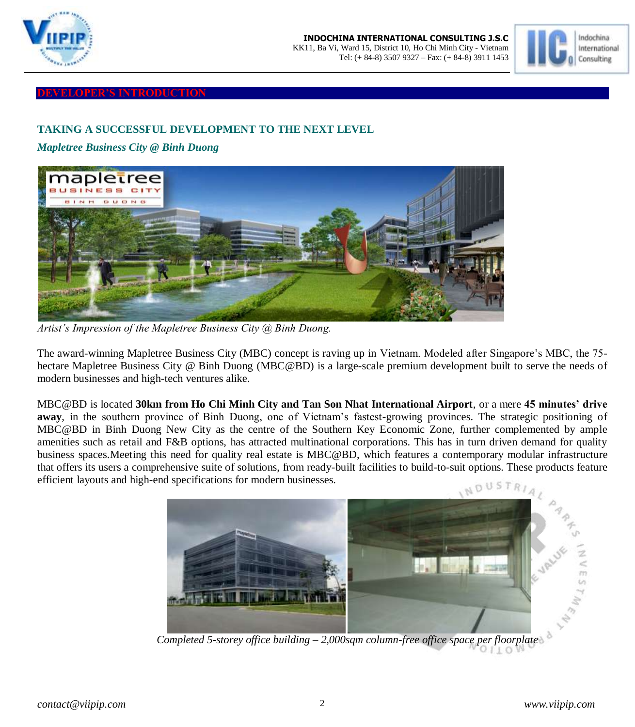



#### <span id="page-2-0"></span>**ELOPER'S INTRODUCTION**

# **TAKING A SUCCESSFUL DEVELOPMENT TO THE NEXT LEVEL**

*Mapletree Business City @ Binh Duong*



*Artist's Impression of the Mapletree Business City @ Binh Duong.*

The award-winning Mapletree Business City (MBC) concept is raving up in Vietnam. Modeled after Singapore's MBC, the 75 hectare Mapletree Business City @ Binh Duong (MBC@BD) is a large-scale premium development built to serve the needs of modern businesses and high-tech ventures alike.

MBC@BD is located **30km from Ho Chi Minh City and Tan Son Nhat International Airport**, or a mere **45 minutes' drive away**, in the southern province of Binh Duong, one of Vietnam's fastest-growing provinces. The strategic positioning of MBC@BD in Binh Duong New City as the centre of the Southern Key Economic Zone, further complemented by ample amenities such as retail and F&B options, has attracted multinational corporations. This has in turn driven demand for quality business spaces.Meeting this need for quality real estate is MBC@BD, which features a contemporary modular infrastructure that offers its users a comprehensive suite of solutions, from ready-built facilities to build-to-suit options. These products feature efficient layouts and high-end specifications for modern businesses.



 *Completed 5-storey office building – 2,000sqm column-free office space per floorplate***OFTOA**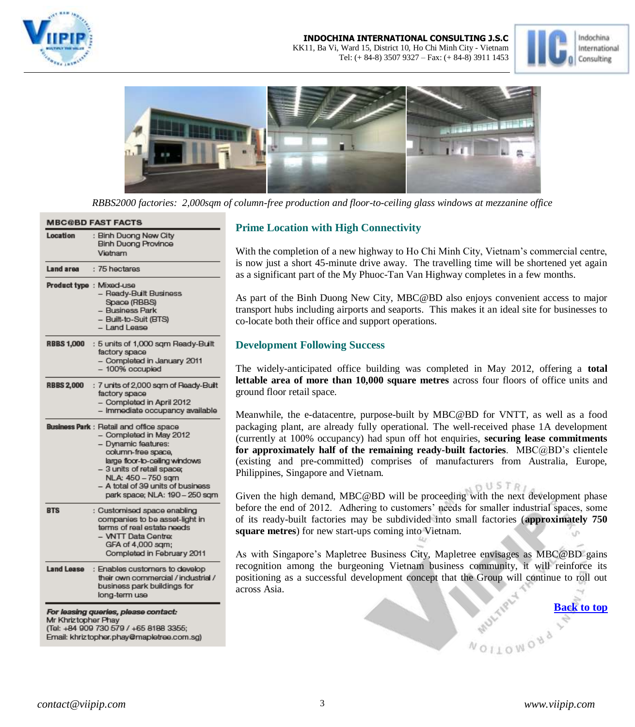





*RBBS2000 factories: 2,000sqm of column-free production and floor-to-ceiling glass windows at mezzanine office*

#### **MBC@BD FAST FACTS**

| Location                             | : Binh Duong New City<br><b>Binh Duong Province</b>                                                                                                                                                                                                                         |  |  |
|--------------------------------------|-----------------------------------------------------------------------------------------------------------------------------------------------------------------------------------------------------------------------------------------------------------------------------|--|--|
|                                      | Vietnam                                                                                                                                                                                                                                                                     |  |  |
| Land area                            | : 75 hectares                                                                                                                                                                                                                                                               |  |  |
|                                      | Product type : Mixed-use<br>- Ready-Built Business<br>Space (RBBS)<br>- Business Park<br>- Built-to-Suit (BTS)<br>- Land Lease                                                                                                                                              |  |  |
| <b>RBBS 1,000</b>                    | : 5 units of 1,000 sqm Ready-Built<br>factory space<br>- Completed in January 2011<br>$-100%$ occupied                                                                                                                                                                      |  |  |
| <b>RBBS 2,000</b>                    | : 7 units of 2,000 sqm of Ready-Built<br>factory space<br>- Completed in April 2012<br>- Immediate occupancy available                                                                                                                                                      |  |  |
|                                      | Business Park: Retail and office space<br>- Completed in May 2012<br>- Dynamic features:<br>column-free space,<br>large floor-to-ceiling windows<br>- 3 units of retail space;<br>NLA: 450 - 750 sam<br>- A total of 39 units of business<br>park space; NLA: 190 - 250 sqm |  |  |
| <b>BTS</b>                           | : Customised space enabling<br>companies to be asset-light in<br>terms of real estate needs<br>- VNTT Data Centre:<br>GFA of 4,000 sam;<br>Completed in February 2011                                                                                                       |  |  |
| <b>Land Lease</b>                    | : Enables customers to develop<br>their own commercial / industrial /<br>business park buildings for<br>long-term use                                                                                                                                                       |  |  |
| For leasing queries, please contact: |                                                                                                                                                                                                                                                                             |  |  |

Mr Khriztopher Phay (Tel: +84 909 730 579 / +65 8188 3355; Email: khriztopher.phay@mapletree.com.sg)

#### **Prime Location with High Connectivity**

With the completion of a new highway to Ho Chi Minh City, Vietnam's commercial centre, is now just a short 45-minute drive away. The travelling time will be shortened yet again as a significant part of the My Phuoc-Tan Van Highway completes in a few months.

As part of the Binh Duong New City, MBC@BD also enjoys convenient access to major transport hubs including airports and seaports. This makes it an ideal site for businesses to co-locate both their office and support operations.

#### **Development Following Success**

The widely-anticipated office building was completed in May 2012, offering a **total lettable area of more than 10,000 square metres** across four floors of office units and ground floor retail space.

Meanwhile, the e-datacentre, purpose-built by MBC@BD for VNTT, as well as a food packaging plant, are already fully operational. The well-received phase 1A development (currently at 100% occupancy) had spun off hot enquiries, **securing lease commitments for approximately half of the remaining ready-built factories**. MBC@BD's clientele (existing and pre-committed) comprises of manufacturers from Australia, Europe, Philippines, Singapore and Vietnam.

Given the high demand, MBC@BD will be proceeding with the next development phase before the end of 2012. Adhering to customers' needs for smaller industrial spaces, some of its ready-built factories may be subdivided into small factories (**approximately 750 square metres**) for new start-ups coming into Vietnam.

OUSTR

MOILOWOND

As with Singapore's Mapletree Business City, Mapletree envisages as MBC@BD gains recognition among the burgeoning Vietnam business community, it will reinforce its positioning as a successful development concept that the Group will continue to roll out across Asia.

*contact@viipip.com* 3 *www.viipip.com*

**[Back to top](#page-0-0)**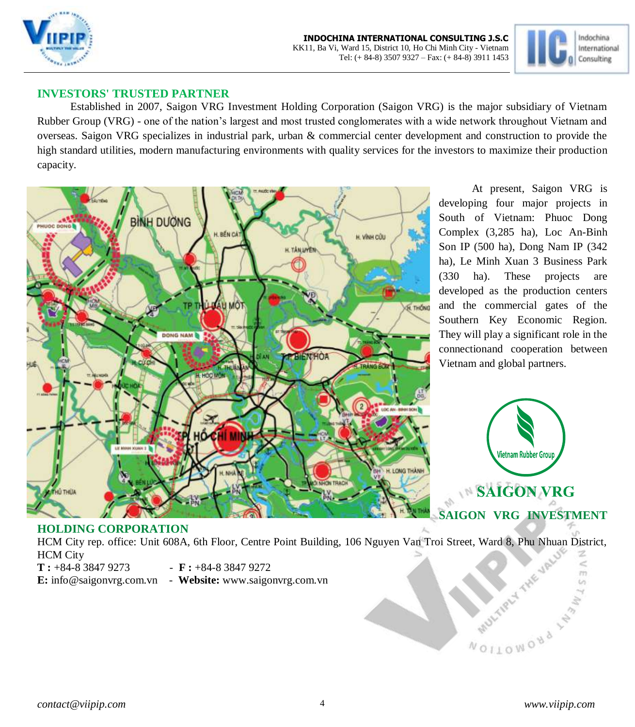



# **INVESTORS' TRUSTED PARTNER**

Established in 2007, Saigon VRG Investment Holding Corporation (Saigon VRG) is the major subsidiary of Vietnam Rubber Group (VRG) - one of the nation's largest and most trusted conglomerates with a wide network throughout Vietnam and overseas. Saigon VRG specializes in industrial park, urban & commercial center development and construction to provide the high standard utilities, modern manufacturing environments with quality services for the investors to maximize their production capacity.



At present, Saigon VRG is developing four major projects in South of Vietnam: Phuoc Dong Complex (3,285 ha), Loc An-Binh Son IP (500 ha), Dong Nam IP (342 ha), Le Minh Xuan 3 Business Park (330 ha). These projects are developed as the production centers and the commercial gates of the Southern Key Economic Region. They will play a significant role in the connectionand cooperation between Vietnam and global partners.



# **HOLDING CORPORATION**

HCM City rep. office: Unit 608A, 6th Floor, Centre Point Building, 106 Nguyen Van Troi Street, Ward 8, Phu Nhuan District, HCM City NOILOWONA 1-25 SAND

- $T : +84-838479273$  **F**:  $+84-838479272$
- **E:** info@saigonvrg.com.vn **Website:** www.saigonvrg.com.vn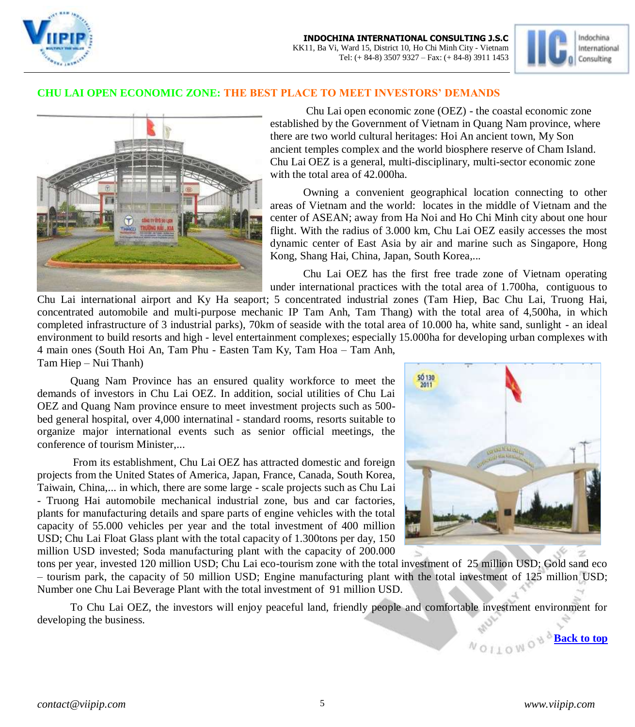



# **CHU LAI OPEN ECONOMIC ZONE: THE BEST PLACE TO MEET INVESTORS' DEMANDS**



Chu Lai open economic zone (OEZ) - the coastal economic zone established by the Government of Vietnam in Quang Nam province, where there are two world cultural heritages: Hoi An ancient town, My Son ancient temples complex and the world biosphere reserve of Cham Island. Chu Lai OEZ is a general, multi-disciplinary, multi-sector economic zone with the total area of 42.000ha.

Owning a convenient geographical location connecting to other areas of Vietnam and the world: locates in the middle of Vietnam and the center of ASEAN; away from Ha Noi and Ho Chi Minh city about one hour flight. With the radius of 3.000 km, Chu Lai OEZ easily accesses the most dynamic center of East Asia by air and marine such as Singapore, Hong Kong, Shang Hai, China, Japan, South Korea,...

Chu Lai OEZ has the first free trade zone of Vietnam operating under international practices with the total area of 1.700ha, contiguous to

Chu Lai international airport and Ky Ha seaport; 5 concentrated industrial zones (Tam Hiep, Bac Chu Lai, Truong Hai, concentrated automobile and multi-purpose mechanic IP Tam Anh, Tam Thang) with the total area of 4,500ha, in which completed infrastructure of 3 industrial parks), 70km of seaside with the total area of 10.000 ha, white sand, sunlight - an ideal environment to build resorts and high - level entertainment complexes; especially 15.000ha for developing urban complexes with 4 main ones (South Hoi An, Tam Phu - Easten Tam Ky, Tam Hoa – Tam Anh, Tam Hiep – Nui Thanh)

Quang Nam Province has an ensured quality workforce to meet the demands of investors in Chu Lai OEZ. In addition, social utilities of Chu Lai OEZ and Quang Nam province ensure to meet investment projects such as 500 bed general hospital, over 4,000 internatinal - standard rooms, resorts suitable to organize major international events such as senior official meetings, the conference of tourism Minister,...

From its establishment, Chu Lai OEZ has attracted domestic and foreign projects from the United States of America, Japan, France, Canada, South Korea, Taiwain, China,... in which, there are some large - scale projects such as Chu Lai - Truong Hai automobile mechanical industrial zone, bus and car factories, plants for manufacturing details and spare parts of engine vehicles with the total capacity of 55.000 vehicles per year and the total investment of 400 million USD; Chu Lai Float Glass plant with the total capacity of 1.300tons per day, 150 million USD invested; Soda manufacturing plant with the capacity of 200.000



tons per year, invested 120 million USD; Chu Lai eco-tourism zone with the total investment of 25 million USD; Gold sand eco – tourism park, the capacity of 50 million USD; Engine manufacturing plant with the total investment of 125 million USD; Number one Chu Lai Beverage Plant with the total investment of 91 million USD.

To Chu Lai OEZ, the investors will enjoy peaceful land, friendly people and comfortable investment environment for developing the business. **[Back to top](#page-0-0)**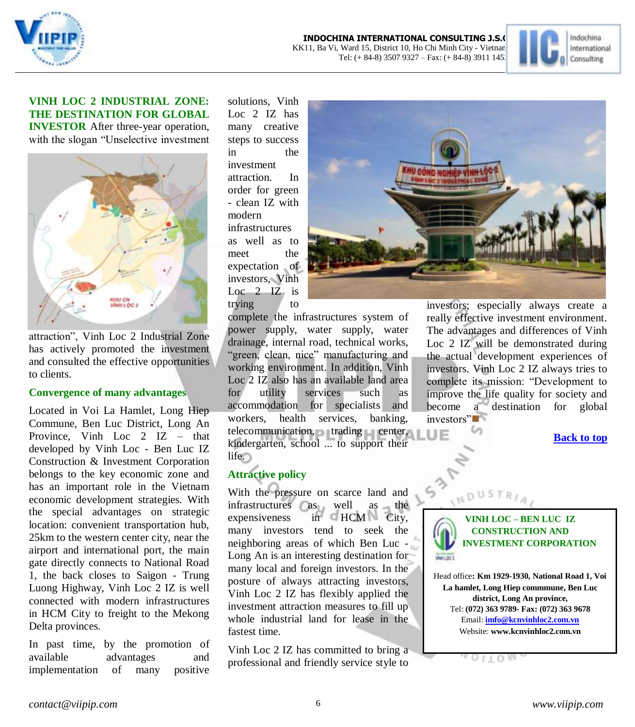



## **VINH LOC 2 INDUSTRIAL ZONE: THE DESTINATION FOR GLOBAL INVESTOR** After three-year operation, with the slogan "Unselective investment



attraction", Vinh Loc 2 Industrial Zone has actively promoted the investment and consulted the effective opportunities to clients.

## **Convergence of many advantages**

Located in Voi La Hamlet, Long Hiep Commune, Ben Luc District, Long An Province, Vinh Loc 2 IZ – that developed by Vinh Loc - Ben Luc IZ Construction & Investment Corporation belongs to the key economic zone and has an important role in the Vietnam economic development strategies. With the special advantages on strategic location: convenient transportation hub, 25km to the western center city, near the airport and international port, the main gate directly connects to National Road 1, the back closes to Saigon - Trung Luong Highway, Vinh Loc 2 IZ is well connected with modern infrastructures in HCM City to freight to the Mekong Delta provinces.

In past time, by the promotion of available advantages and implementation of many positive

solutions, Vinh Loc 2 IZ has many creative steps to success in the investment attraction. In order for green - clean IZ with modern infrastructures as well as to meet the expectation of investors, Vinh Loc 2 IZ is trying to



UE

complete the infrastructures system of power supply, water supply, water drainage, internal road, technical works, "green, clean, nice" manufacturing and working environment. In addition, Vinh Loc 2 IZ also has an available land area for utility services such as accommodation for specialists and workers, health services, banking, telecommunication, trading center, kindergarten, school ... to support their life.

# **Attractive policy**

With the pressure on scarce land and infrastructures as well as the expensiveness in HCM City, many investors tend to seek the neighboring areas of which Ben Luc - Long An is an interesting destination for many local and foreign investors. In the posture of always attracting investors, Vinh Loc 2 IZ has flexibly applied the investment attraction measures to fill up whole industrial land for lease in the fastest time.

Vinh Loc 2 IZ has committed to bring a professional and friendly service style to

investors; especially always create a really effective investment environment. The advantages and differences of Vinh Loc 2 IZ will be demonstrated during the actual development experiences of investors. Vinh Loc 2 IZ always tries to complete its mission: "Development to improve the life quality for society and become a destination for global investors"

#### **[Back to top](#page-0-0)**

**VINH LOC – BEN LUC IZ CONSTRUCTION AND INVESTMENT CORPORATION** LOC 1

Head office**: Km 1929-1930, National Road 1, Voi La hamlet, Long Hiep commmune, Ben Luc district, Long An province,** Tel: **(072) 363 9789- Fax: (072) 363 9678** Email: **[imfo@kcnvinhloc2.com.vn](mailto:imfo@kcnvinhloc2.com.vn)** Website: **www.kcnvinhloc2.com.vn**

```
A O I T O M
```
INDUSTR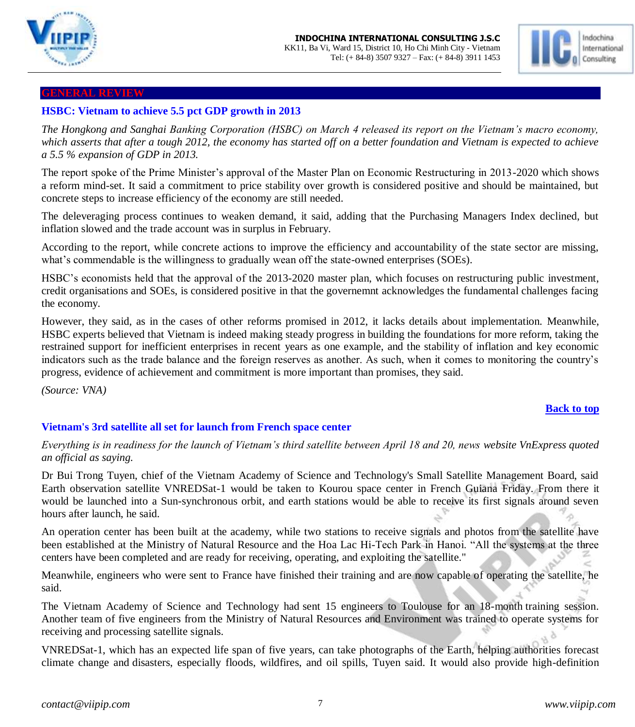



#### <span id="page-7-0"></span>**GENERAL REVIEW**

## **HSBC: Vietnam to achieve 5.5 pct GDP growth in 2013**

*The Hongkong and Sanghai Banking Corporation (HSBC) on March 4 released its report on the Vietnam's macro economy, which asserts that after a tough 2012, the economy has started off on a better foundation and Vietnam is expected to achieve a 5.5 % expansion of GDP in 2013.* 

The report spoke of the Prime Minister's approval of the Master Plan on Economic Restructuring in 2013-2020 which shows a reform mind-set. It said a commitment to price stability over growth is considered positive and should be maintained, but concrete steps to increase efficiency of the economy are still needed.

The deleveraging process continues to weaken demand, it said, adding that the Purchasing Managers Index declined, but inflation slowed and the trade account was in surplus in February.

According to the report, while concrete actions to improve the efficiency and accountability of the state sector are missing, what's commendable is the willingness to gradually wean off the state-owned enterprises (SOEs).

HSBC's economists held that the approval of the 2013-2020 master plan, which focuses on restructuring public investment, credit organisations and SOEs, is considered positive in that the governemnt acknowledges the fundamental challenges facing the economy.

However, they said, as in the cases of other reforms promised in 2012, it lacks details about implementation. Meanwhile, HSBC experts believed that Vietnam is indeed making steady progress in building the foundations for more reform, taking the restrained support for inefficient enterprises in recent years as one example, and the stability of inflation and key economic indicators such as the trade balance and the foreign reserves as another. As such, when it comes to monitoring the country's progress, evidence of achievement and commitment is more important than promises, they said.

*(Source: VNA)*

#### **Back to top**

## <span id="page-7-1"></span>**Vietnam's 3rd satellite all set for launch from French space center**

*Everything is in readiness for the launch of Vietnam's third satellite between April 18 and 20, news website VnExpress quoted an official as saying.*

Dr Bui Trong Tuyen, chief of the Vietnam Academy of Science and Technology's Small Satellite Management Board, said Earth observation satellite VNREDSat-1 would be taken to Kourou space center in French Guiana Friday. From there it would be launched into a Sun-synchronous orbit, and earth stations would be able to receive its first signals around seven hours after launch, he said.

An operation center has been built at the academy, while two stations to receive signals and photos from the satellite have been established at the Ministry of Natural Resource and the Hoa Lac Hi-Tech Park in Hanoi. "All the systems at the three centers have been completed and are ready for receiving, operating, and exploiting the satellite."

Meanwhile, engineers who were sent to France have finished their training and are now capable of operating the satellite, he said.

The Vietnam Academy of Science and Technology had sent 15 engineers to Toulouse for an 18-month training session. Another team of five engineers from the Ministry of Natural Resources and Environment was trained to operate systems for receiving and processing satellite signals.

VNREDSat-1, which has an expected life span of five years, can take photographs of the Earth, helping authorities forecast climate change and disasters, especially floods, wildfires, and oil spills, Tuyen said. It would also provide high-definition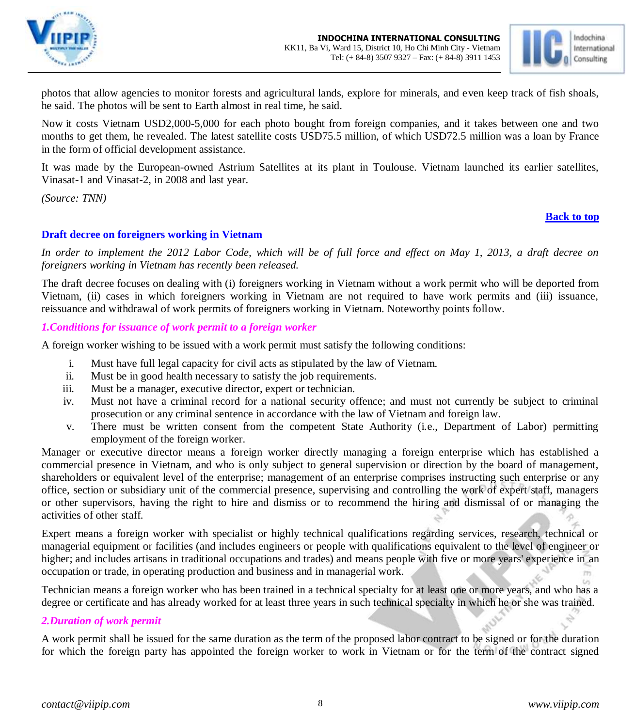



photos that allow agencies to monitor forests and agricultural lands, explore for minerals, and even keep track of fish shoals, he said. The photos will be sent to Earth almost in real time, he said.

Now it costs Vietnam USD2,000-5,000 for each photo bought from foreign companies, and it takes between one and two months to get them, he revealed. The latest satellite costs USD75.5 million, of which USD72.5 million was a loan by France in the form of official development assistance.

It was made by the European-owned Astrium Satellites at its plant in Toulouse. Vietnam launched its earlier satellites, Vinasat-1 and Vinasat-2, in 2008 and last year.

*(Source: TNN)*

## **Back to top**

# <span id="page-8-0"></span>**Draft decree on foreigners working in Vietnam**

*In order to implement the 2012 Labor Code, which will be of full force and effect on May 1, 2013, a draft decree on foreigners working in Vietnam has recently been released.*

The draft decree focuses on dealing with (i) foreigners working in Vietnam without a work permit who will be deported from Vietnam, (ii) cases in which foreigners working in Vietnam are not required to have work permits and (iii) issuance, reissuance and withdrawal of work permits of foreigners working in Vietnam. Noteworthy points follow.

## *1.Conditions for issuance of work permit to a foreign worker*

A foreign worker wishing to be issued with a work permit must satisfy the following conditions:

- i. Must have full legal capacity for civil acts as stipulated by the law of Vietnam.
- ii. Must be in good health necessary to satisfy the job requirements.
- iii. Must be a manager, executive director, expert or technician.
- iv. Must not have a criminal record for a national security offence; and must not currently be subject to criminal prosecution or any criminal sentence in accordance with the law of Vietnam and foreign law.
- v. There must be written consent from the competent State Authority (i.e., Department of Labor) permitting employment of the foreign worker.

Manager or executive director means a foreign worker directly managing a foreign enterprise which has established a commercial presence in Vietnam, and who is only subject to general supervision or direction by the board of management, shareholders or equivalent level of the enterprise; management of an enterprise comprises instructing such enterprise or any office, section or subsidiary unit of the commercial presence, supervising and controlling the work of expert staff, managers or other supervisors, having the right to hire and dismiss or to recommend the hiring and dismissal of or managing the activities of other staff.

Expert means a foreign worker with specialist or highly technical qualifications regarding services, research, technical or managerial equipment or facilities (and includes engineers or people with qualifications equivalent to the level of engineer or higher; and includes artisans in traditional occupations and trades) and means people with five or more years' experience in an occupation or trade, in operating production and business and in managerial work.

Technician means a foreign worker who has been trained in a technical specialty for at least one or more years, and who has a degree or certificate and has already worked for at least three years in such technical specialty in which he or she was trained.

# *2.Duration of work permit*

A work permit shall be issued for the same duration as the term of the proposed labor contract to be signed or for the duration for which the foreign party has appointed the foreign worker to work in Vietnam or for the term of the contract signed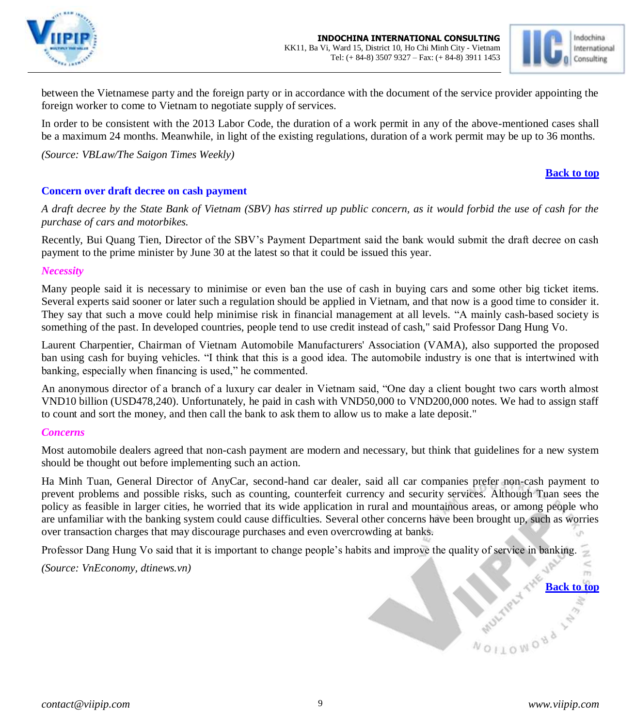



between the Vietnamese party and the foreign party or in accordance with the document of the service provider appointing the foreign worker to come to Vietnam to negotiate supply of services.

In order to be consistent with the 2013 Labor Code, the duration of a work permit in any of the above-mentioned cases shall be a maximum 24 months. Meanwhile, in light of the existing regulations, duration of a work permit may be up to 36 months.

*(Source: VBLaw/The Saigon Times Weekly)*

#### **Back to top**

# <span id="page-9-0"></span>**Concern over draft decree on cash payment**

*A draft decree by the State Bank of Vietnam (SBV) has stirred up public concern, as it would forbid the use of cash for the purchase of cars and motorbikes.*

Recently, Bui Quang Tien, Director of the SBV's Payment Department said the bank would submit the draft decree on cash payment to the prime minister by June 30 at the latest so that it could be issued this year.

## *Necessity*

Many people said it is necessary to minimise or even ban the use of cash in buying cars and some other big ticket items. Several experts said sooner or later such a regulation should be applied in Vietnam, and that now is a good time to consider it. They say that such a move could help minimise risk in financial management at all levels. "A mainly cash-based society is something of the past. In developed countries, people tend to use credit instead of cash," said Professor Dang Hung Vo.

Laurent Charpentier, Chairman of Vietnam Automobile Manufacturers' Association (VAMA), also supported the proposed ban using cash for buying vehicles. "I think that this is a good idea. The automobile industry is one that is intertwined with banking, especially when financing is used," he commented.

An anonymous director of a branch of a luxury car dealer in Vietnam said, "One day a client bought two cars worth almost VND10 billion (USD478,240). Unfortunately, he paid in cash with VND50,000 to VND200,000 notes. We had to assign staff to count and sort the money, and then call the bank to ask them to allow us to make a late deposit."

## *Concerns*

Most automobile dealers agreed that non-cash payment are modern and necessary, but think that guidelines for a new system should be thought out before implementing such an action.

Ha Minh Tuan, General Director of AnyCar, second-hand car dealer, said all car companies prefer non-cash payment to prevent problems and possible risks, such as counting, counterfeit currency and security services. Although Tuan sees the policy as feasible in larger cities, he worried that its wide application in rural and mountainous areas, or among people who are unfamiliar with the banking system could cause difficulties. Several other concerns have been brought up, such as worries over transaction charges that may discourage purchases and even overcrowding at banks.

Professor Dang Hung Vo said that it is important to change people's habits and improve the quality of service in banking.

*(Source: VnEconomy, dtinews.vn)*

MOILOMONALLAS

**Back to top**

 $\ll$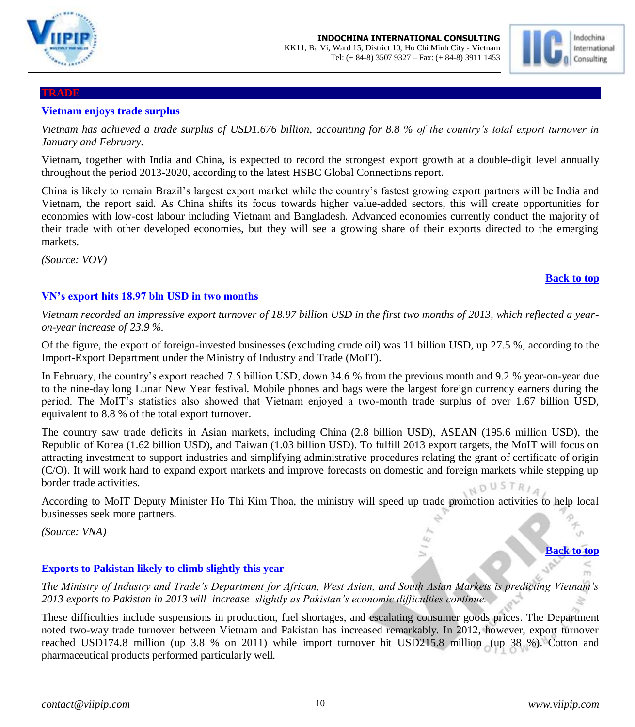



#### <span id="page-10-0"></span>**TRADE**

#### **Vietnam enjoys trade surplus**

*Vietnam has achieved a trade surplus of USD1.676 billion, accounting for 8.8 % of the country's total export turnover in January and February.*

Vietnam, together with India and China, is expected to record the strongest export growth at a double-digit level annually throughout the period 2013-2020, according to the latest HSBC Global Connections report.

China is likely to remain Brazil's largest export market while the country's fastest growing export partners will be India and Vietnam, the report said. As China shifts its focus towards higher value-added sectors, this will create opportunities for economies with low-cost labour including Vietnam and Bangladesh. Advanced economies currently conduct the majority of their trade with other developed economies, but they will see a growing share of their exports directed to the emerging markets.

*(Source: VOV)*

#### **Back to top**

## <span id="page-10-1"></span>**VN's export hits 18.97 bln USD in two months**

*Vietnam recorded an impressive export turnover of 18.97 billion USD in the first two months of 2013, which reflected a yearon-year increase of 23.9 %.* 

Of the figure, the export of foreign-invested businesses (excluding crude oil) was 11 billion USD, up 27.5 %, according to the Import-Export Department under the Ministry of Industry and Trade (MoIT).

In February, the country's export reached 7.5 billion USD, down 34.6 % from the previous month and 9.2 % year-on-year due to the nine-day long Lunar New Year festival. Mobile phones and bags were the largest foreign currency earners during the period. The MoIT's statistics also showed that Vietnam enjoyed a two-month trade surplus of over 1.67 billion USD, equivalent to 8.8 % of the total export turnover.

The country saw trade deficits in Asian markets, including China (2.8 billion USD), ASEAN (195.6 million USD), the Republic of Korea (1.62 billion USD), and Taiwan (1.03 billion USD). To fulfill 2013 export targets, the MoIT will focus on attracting investment to support industries and simplifying administrative procedures relating the grant of certificate of origin (C/O). It will work hard to expand export markets and improve forecasts on domestic and foreign markets while stepping up border trade activities.  $TR10$ 

According to MoIT Deputy Minister Ho Thi Kim Thoa, the ministry will speed up trade promotion activities to help local businesses seek more partners.

*(Source: VNA)*

## <span id="page-10-2"></span>**Exports to Pakistan likely to climb slightly this year**

*The Ministry of Industry and Trade's Department for African, West Asian, and South Asian Markets is predicting Vietnam's 2013 exports to Pakistan in 2013 will increase slightly as Pakistan's economic difficulties continue.*

These difficulties include suspensions in production, fuel shortages, and escalating consumer goods prices. The Department noted two-way trade turnover between Vietnam and Pakistan has increased remarkably. In 2012, however, export turnover reached USD174.8 million (up 3.8 % on 2011) while import turnover hit USD215.8 million (up 38 %). Cotton and pharmaceutical products performed particularly well.

**Back to top**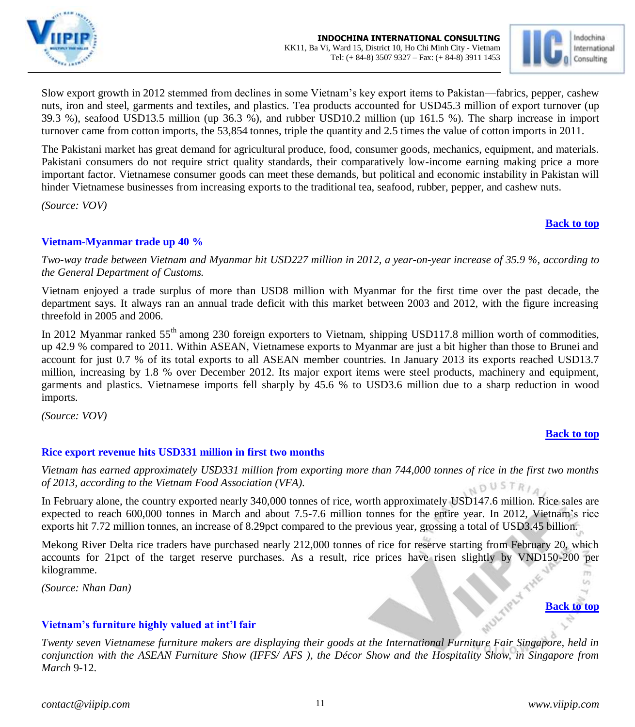



Slow export growth in 2012 stemmed from declines in some Vietnam's key export items to Pakistan—fabrics, pepper, cashew nuts, iron and steel, garments and textiles, and plastics. Tea products accounted for USD45.3 million of export turnover (up 39.3 %), seafood USD13.5 million (up 36.3 %), and rubber USD10.2 million (up 161.5 %). The sharp increase in import turnover came from cotton imports, the 53,854 tonnes, triple the quantity and 2.5 times the value of cotton imports in 2011.

The Pakistani market has great demand for agricultural produce, food, consumer goods, mechanics, equipment, and materials. Pakistani consumers do not require strict quality standards, their comparatively low-income earning making price a more important factor. Vietnamese consumer goods can meet these demands, but political and economic instability in Pakistan will hinder Vietnamese businesses from increasing exports to the traditional tea, seafood, rubber, pepper, and cashew nuts.

*(Source: VOV)*

## **Back to top**

# <span id="page-11-0"></span>**Vietnam-Myanmar trade up 40 %**

*Two-way trade between Vietnam and Myanmar hit USD227 million in 2012, a year-on-year increase of 35.9 %, according to the General Department of Customs.*

Vietnam enjoyed a trade surplus of more than USD8 million with Myanmar for the first time over the past decade, the department says. It always ran an annual trade deficit with this market between 2003 and 2012, with the figure increasing threefold in 2005 and 2006.

In 2012 Myanmar ranked 55<sup>th</sup> among 230 foreign exporters to Vietnam, shipping USD117.8 million worth of commodities, up 42.9 % compared to 2011. Within ASEAN, Vietnamese exports to Myanmar are just a bit higher than those to Brunei and account for just 0.7 % of its total exports to all ASEAN member countries. In January 2013 its exports reached USD13.7 million, increasing by 1.8 % over December 2012. Its major export items were steel products, machinery and equipment, garments and plastics. Vietnamese imports fell sharply by 45.6 % to USD3.6 million due to a sharp reduction in wood imports.

*(Source: VOV)*

# **Back to top**

# <span id="page-11-1"></span>**Rice export revenue hits USD331 million in first two months**

*Vietnam has earned approximately USD331 million from exporting more than 744,000 tonnes of rice in the first two months of 2013, according to the Vietnam Food Association (VFA).* NDUSTRIA

In February alone, the country exported nearly 340,000 tonnes of rice, worth approximately USD147.6 million. Rice sales are expected to reach 600,000 tonnes in March and about 7.5-7.6 million tonnes for the entire year. In 2012, Vietnam's rice exports hit 7.72 million tonnes, an increase of 8.29pct compared to the previous year, grossing a total of USD3.45 billion.

Mekong River Delta rice traders have purchased nearly 212,000 tonnes of rice for reserve starting from February 20, which accounts for 21pct of the target reserve purchases. As a result, rice prices have risen slightly by VND150-200 per kilogramme.

*(Source: Nhan Dan)*

# <span id="page-11-2"></span>**Vietnam's furniture highly valued at int'l fair**

*Twenty seven Vietnamese furniture makers are displaying their goods at the International Furniture Fair Singapore, held in conjunction with the ASEAN Furniture Show (IFFS/ AFS ), the Décor Show and the Hospitality Show, in Singapore from March* 9-12.

**Back to top**

 $\cup$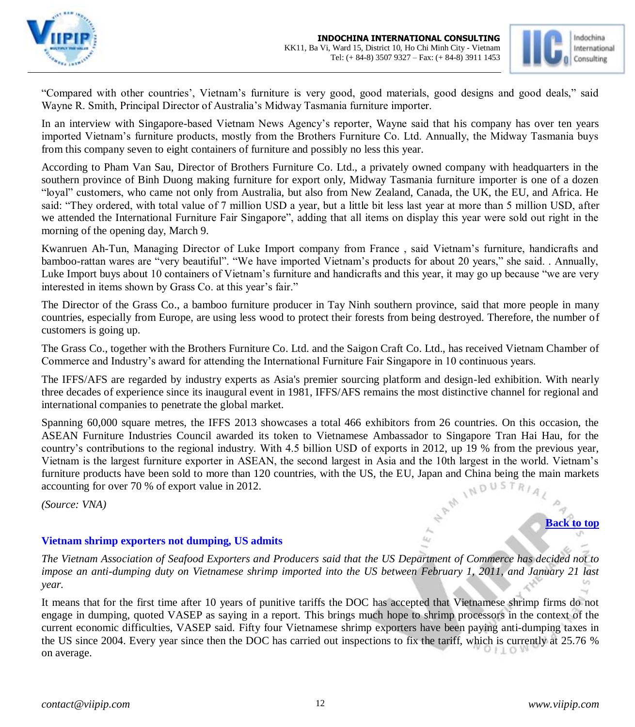



"Compared with other countries', Vietnam's furniture is very good, good materials, good designs and good deals," said Wayne R. Smith, Principal Director of Australia's Midway Tasmania furniture importer.

In an interview with Singapore-based Vietnam News Agency's reporter, Wayne said that his company has over ten years imported Vietnam's furniture products, mostly from the Brothers Furniture Co. Ltd. Annually, the Midway Tasmania buys from this company seven to eight containers of furniture and possibly no less this year.

According to Pham Van Sau, Director of Brothers Furniture Co. Ltd., a privately owned company with headquarters in the southern province of Binh Duong making furniture for export only, Midway Tasmania furniture importer is one of a dozen "loyal" customers, who came not only from Australia, but also from New Zealand, Canada, the UK, the EU, and Africa. He said: "They ordered, with total value of 7 million USD a year, but a little bit less last year at more than 5 million USD, after we attended the International Furniture Fair Singapore", adding that all items on display this year were sold out right in the morning of the opening day, March 9.

Kwanruen Ah-Tun, Managing Director of Luke Import company from France , said Vietnam's furniture, handicrafts and bamboo-rattan wares are "very beautiful". "We have imported Vietnam's products for about 20 years," she said. . Annually, Luke Import buys about 10 containers of Vietnam's furniture and handicrafts and this year, it may go up because "we are very interested in items shown by Grass Co. at this year's fair."

The Director of the Grass Co., a bamboo furniture producer in Tay Ninh southern province, said that more people in many countries, especially from Europe, are using less wood to protect their forests from being destroyed. Therefore, the number of customers is going up.

The Grass Co., together with the Brothers Furniture Co. Ltd. and the Saigon Craft Co. Ltd., has received Vietnam Chamber of Commerce and Industry's award for attending the International Furniture Fair Singapore in 10 continuous years.

The IFFS/AFS are regarded by industry experts as Asia's premier sourcing platform and design-led exhibition. With nearly three decades of experience since its inaugural event in 1981, IFFS/AFS remains the most distinctive channel for regional and international companies to penetrate the global market.

Spanning 60,000 square metres, the IFFS 2013 showcases a total 466 exhibitors from 26 countries. On this occasion, the ASEAN Furniture Industries Council awarded its token to Vietnamese Ambassador to Singapore Tran Hai Hau, for the country's contributions to the regional industry. With 4.5 billion USD of exports in 2012, up 19 % from the previous year, Vietnam is the largest furniture exporter in ASEAN, the second largest in Asia and the 10th largest in the world. Vietnam's furniture products have been sold to more than 120 countries, with the US, the EU, Japan and China furniture products have been sold to more than 120 countries, with the US, the EU, Japan and China being the main markets accounting for over 70 % of export value in 2012.

*(Source: VNA)*

# <span id="page-12-0"></span>**Vietnam shrimp exporters not dumping, US admits**

*The Vietnam Association of Seafood Exporters and Producers said that the US Department of Commerce has decided not to impose an anti-dumping duty on Vietnamese shrimp imported into the US between February 1, 2011, and January 21 last*   $\circ$ *year.* 

It means that for the first time after 10 years of punitive tariffs the DOC has accepted that Vietnamese shrimp firms do not engage in dumping, quoted VASEP as saying in a report. This brings much hope to shrimp processors in the context of the current economic difficulties, VASEP said. Fifty four Vietnamese shrimp exporters have been paying anti-dumping taxes in the US since 2004. Every year since then the DOC has carried out inspections to fix the tariff, which is currently at 25.76 %  $O$  I  $T$  O  $M$ on average.

**Back to top**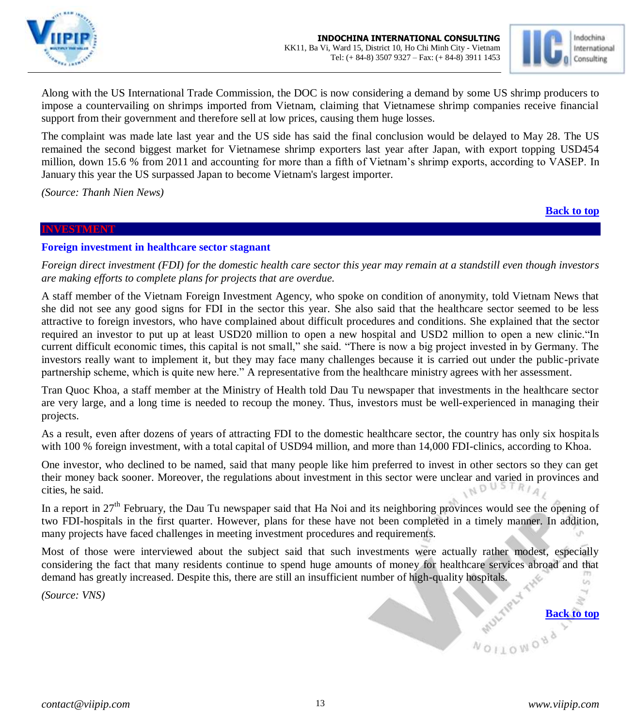



Along with the US International Trade Commission, the DOC is now considering a demand by some US shrimp producers to impose a countervailing on shrimps imported from Vietnam, claiming that Vietnamese shrimp companies receive financial support from their government and therefore sell at low prices, causing them huge losses.

The complaint was made late last year and the US side has said the final conclusion would be delayed to May 28. The US remained the second biggest market for Vietnamese shrimp exporters last year after Japan, with export topping USD454 million, down 15.6 % from 2011 and accounting for more than a fifth of Vietnam's shrimp exports, according to VASEP. In January this year the US surpassed Japan to become Vietnam's largest importer.

*(Source: Thanh Nien News)*

#### <span id="page-13-0"></span>**INVESTMENT**

#### **Back to top**

## **Foreign investment in healthcare sector stagnant**

*Foreign direct investment (FDI) for the domestic health care sector this year may remain at a standstill even though investors are making efforts to complete plans for projects that are overdue.*

A staff member of the Vietnam Foreign Investment Agency, who spoke on condition of anonymity, told Vietnam News that she did not see any good signs for FDI in the sector this year. She also said that the healthcare sector seemed to be less attractive to foreign investors, who have complained about difficult procedures and conditions. She explained that the sector required an investor to put up at least USD20 million to open a new hospital and USD2 million to open a new clinic."In current difficult economic times, this capital is not small," she said. "There is now a big project invested in by Germany. The investors really want to implement it, but they may face many challenges because it is carried out under the public-private partnership scheme, which is quite new here." A representative from the healthcare ministry agrees with her assessment.

Tran Quoc Khoa, a staff member at the Ministry of Health told Dau Tu newspaper that investments in the healthcare sector are very large, and a long time is needed to recoup the money. Thus, investors must be well-experienced in managing their projects.

As a result, even after dozens of years of attracting FDI to the domestic healthcare sector, the country has only six hospitals with 100 % foreign investment, with a total capital of USD94 million, and more than 14,000 FDI-clinics, according to Khoa.

One investor, who declined to be named, said that many people like him preferred to invest in other sectors so they can get their money back sooner. Moreover, the regulations about investment in this sector were unclear and varied in provinces and cities, he said. IND

In a report in 27<sup>th</sup> February, the Dau Tu newspaper said that Ha Noi and its neighboring provinces would see the opening of two FDI-hospitals in the first quarter. However, plans for these have not been completed in a timely manner. In addition, many projects have faced challenges in meeting investment procedures and requirements.

Most of those were interviewed about the subject said that such investments were actually rather modest, especially considering the fact that many residents continue to spend huge amounts of money for healthcare services abroad and that demand has greatly increased. Despite this, there are still an insufficient number of high-quality hospitals.  $\cup$ 

<span id="page-13-1"></span>*(Source: VNS)*

**Back to top**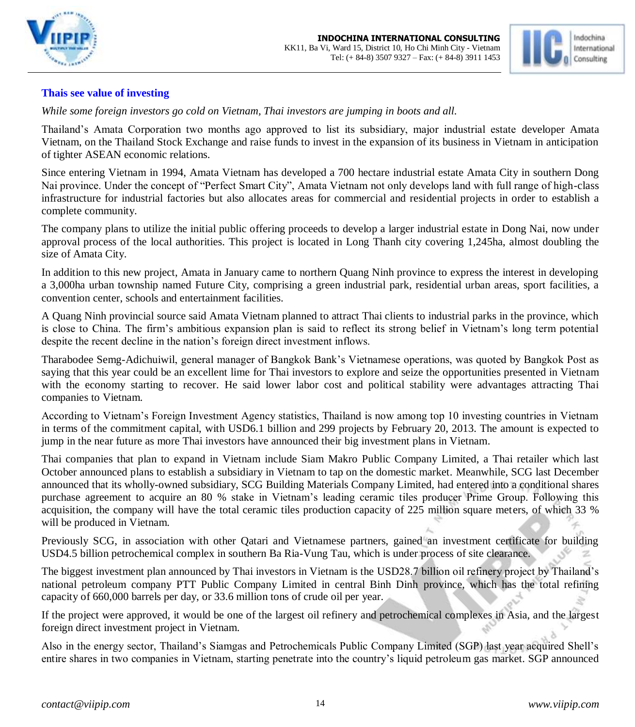



# **Thais see value of investing**

*While some foreign investors go cold on Vietnam, Thai investors are jumping in boots and all.*

Thailand's Amata Corporation two months ago approved to list its subsidiary, major industrial estate developer Amata Vietnam, on the Thailand Stock Exchange and raise funds to invest in the expansion of its business in Vietnam in anticipation of tighter ASEAN economic relations.

Since entering Vietnam in 1994, Amata Vietnam has developed a 700 hectare industrial estate Amata City in southern Dong Nai province. Under the concept of "Perfect Smart City", Amata Vietnam not only develops land with full range of high-class infrastructure for industrial factories but also allocates areas for commercial and residential projects in order to establish a complete community.

The company plans to utilize the initial public offering proceeds to develop a larger industrial estate in Dong Nai, now under approval process of the local authorities. This project is located in Long Thanh city covering 1,245ha, almost doubling the size of Amata City.

In addition to this new project, Amata in January came to northern Quang Ninh province to express the interest in developing a 3,000ha urban township named Future City, comprising a green industrial park, residential urban areas, sport facilities, a convention center, schools and entertainment facilities.

A Quang Ninh provincial source said Amata Vietnam planned to attract Thai clients to industrial parks in the province, which is close to China. The firm's ambitious expansion plan is said to reflect its strong belief in Vietnam's long term potential despite the recent decline in the nation's foreign direct investment inflows.

Tharabodee Semg-Adichuiwil, general manager of Bangkok Bank's Vietnamese operations, was quoted by Bangkok Post as saying that this year could be an excellent lime for Thai investors to explore and seize the opportunities presented in Vietnam with the economy starting to recover. He said lower labor cost and political stability were advantages attracting Thai companies to Vietnam.

According to Vietnam's Foreign Investment Agency statistics, Thailand is now among top 10 investing countries in Vietnam in terms of the commitment capital, with USD6.1 billion and 299 projects by February 20, 2013. The amount is expected to jump in the near future as more Thai investors have announced their big investment plans in Vietnam.

Thai companies that plan to expand in Vietnam include Siam Makro Public Company Limited, a Thai retailer which last October announced plans to establish a subsidiary in Vietnam to tap on the domestic market. Meanwhile, SCG last December announced that its wholly-owned subsidiary, SCG Building Materials Company Limited, had entered into a conditional shares purchase agreement to acquire an 80 % stake in Vietnam's leading ceramic tiles producer Prime Group. Following this acquisition, the company will have the total ceramic tiles production capacity of 225 million square meters, of which 33 % will be produced in Vietnam.

Previously SCG, in association with other Qatari and Vietnamese partners, gained an investment certificate for building USD4.5 billion petrochemical complex in southern Ba Ria-Vung Tau, which is under process of site clearance.

The biggest investment plan announced by Thai investors in Vietnam is the USD28.7 billion oil refinery project by Thailand's national petroleum company PTT Public Company Limited in central Binh Dinh province, which has the total refining capacity of 660,000 barrels per day, or 33.6 million tons of crude oil per year.

If the project were approved, it would be one of the largest oil refinery and petrochemical complexes in Asia, and the largest foreign direct investment project in Vietnam.

Also in the energy sector, Thailand's Siamgas and Petrochemicals Public Company Limited (SGP) last year acquired Shell's entire shares in two companies in Vietnam, starting penetrate into the country's liquid petroleum gas market. SGP announced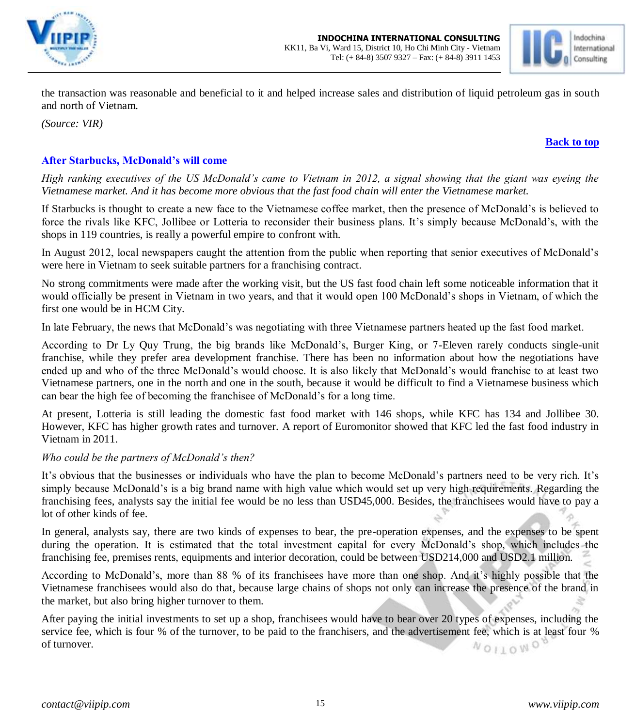



the transaction was reasonable and beneficial to it and helped increase sales and distribution of liquid petroleum gas in south and north of Vietnam.

*(Source: VIR)*

#### **Back to top**

# <span id="page-15-0"></span>**After Starbucks, McDonald's will come**

*High ranking executives of the US McDonald's came to Vietnam in 2012, a signal showing that the giant was eyeing the Vietnamese market. And it has become more obvious that the fast food chain will enter the Vietnamese market.*

If Starbucks is thought to create a new face to the Vietnamese coffee market, then the presence of McDonald's is believed to force the rivals like KFC, Jollibee or Lotteria to reconsider their business plans. It's simply because McDonald's, with the shops in 119 countries, is really a powerful empire to confront with.

In August 2012, local newspapers caught the attention from the public when reporting that senior executives of McDonald's were here in Vietnam to seek suitable partners for a franchising contract.

No strong commitments were made after the working visit, but the US fast food chain left some noticeable information that it would officially be present in Vietnam in two years, and that it would open 100 McDonald's shops in Vietnam, of which the first one would be in HCM City.

In late February, the news that McDonald's was negotiating with three Vietnamese partners heated up the fast food market.

According to Dr Ly Quy Trung, the big brands like McDonald's, Burger King, or 7-Eleven rarely conducts single-unit franchise, while they prefer area development franchise. There has been no information about how the negotiations have ended up and who of the three McDonald's would choose. It is also likely that McDonald's would franchise to at least two Vietnamese partners, one in the north and one in the south, because it would be difficult to find a Vietnamese business which can bear the high fee of becoming the franchisee of McDonald's for a long time.

At present, Lotteria is still leading the domestic fast food market with 146 shops, while KFC has 134 and Jollibee 30. However, KFC has higher growth rates and turnover. A report of Euromonitor showed that KFC led the fast food industry in Vietnam in 2011.

## *Who could be the partners of McDonald's then?*

It's obvious that the businesses or individuals who have the plan to become McDonald's partners need to be very rich. It's simply because McDonald's is a big brand name with high value which would set up very high requirements. Regarding the franchising fees, analysts say the initial fee would be no less than USD45,000. Besides, the franchisees would have to pay a lot of other kinds of fee.

In general, analysts say, there are two kinds of expenses to bear, the pre-operation expenses, and the expenses to be spent during the operation. It is estimated that the total investment capital for every McDonald's shop, which includes the franchising fee, premises rents, equipments and interior decoration, could be between USD214,000 and USD2.1 million.

According to McDonald's, more than 88 % of its franchisees have more than one shop. And it's highly possible that the Vietnamese franchisees would also do that, because large chains of shops not only can increase the presence of the brand in the market, but also bring higher turnover to them.

After paying the initial investments to set up a shop, franchisees would have to bear over 20 types of expenses, including the service fee, which is four % of the turnover, to be paid to the franchisers, and the advertisement fee, which is at least four % NOILOWOD of turnover.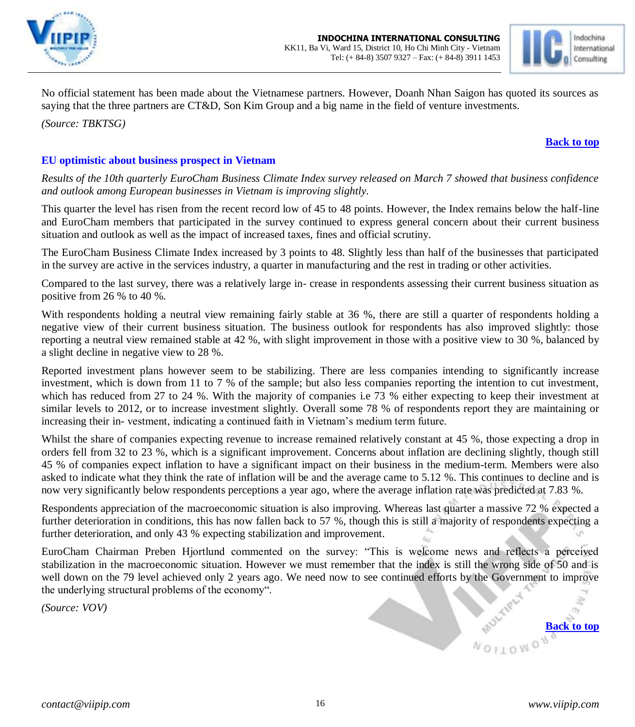



No official statement has been made about the Vietnamese partners. However, Doanh Nhan Saigon has quoted its sources as saying that the three partners are CT&D, Son Kim Group and a big name in the field of venture investments.

*(Source: TBKTSG)*

#### **Back to top**

# <span id="page-16-0"></span>**EU optimistic about business prospect in Vietnam**

*Results of the 10th quarterly EuroCham Business Climate Index survey released on March 7 showed that business confidence and outlook among European businesses in Vietnam is improving slightly.*

This quarter the level has risen from the recent record low of 45 to 48 points. However, the Index remains below the half-line and EuroCham members that participated in the survey continued to express general concern about their current business situation and outlook as well as the impact of increased taxes, fines and official scrutiny.

The EuroCham Business Climate Index increased by 3 points to 48. Slightly less than half of the businesses that participated in the survey are active in the services industry, a quarter in manufacturing and the rest in trading or other activities.

Compared to the last survey, there was a relatively large in- crease in respondents assessing their current business situation as positive from 26 % to 40 %.

With respondents holding a neutral view remaining fairly stable at 36 %, there are still a quarter of respondents holding a negative view of their current business situation. The business outlook for respondents has also improved slightly: those reporting a neutral view remained stable at 42 %, with slight improvement in those with a positive view to 30 %, balanced by a slight decline in negative view to 28 %.

Reported investment plans however seem to be stabilizing. There are less companies intending to significantly increase investment, which is down from 11 to 7 % of the sample; but also less companies reporting the intention to cut investment, which has reduced from 27 to 24 %. With the majority of companies i.e 73 % either expecting to keep their investment at similar levels to 2012, or to increase investment slightly. Overall some 78 % of respondents report they are maintaining or increasing their in- vestment, indicating a continued faith in Vietnam's medium term future.

Whilst the share of companies expecting revenue to increase remained relatively constant at 45 %, those expecting a drop in orders fell from 32 to 23 %, which is a significant improvement. Concerns about inflation are declining slightly, though still 45 % of companies expect inflation to have a significant impact on their business in the medium-term. Members were also asked to indicate what they think the rate of inflation will be and the average came to 5.12 %. This continues to decline and is now very significantly below respondents perceptions a year ago, where the average inflation rate was predicted at 7.83 %.

Respondents appreciation of the macroeconomic situation is also improving. Whereas last quarter a massive 72 % expected a further deterioration in conditions, this has now fallen back to 57 %, though this is still a majority of respondents expecting a further deterioration, and only 43 % expecting stabilization and improvement.

EuroCham Chairman Preben Hjortlund commented on the survey: "This is welcome news and reflects a perceived stabilization in the macroeconomic situation. However we must remember that the index is still the wrong side of 50 and is well down on the 79 level achieved only 2 years ago. We need now to see continued efforts by the Government to improve the underlying structural problems of the economy".

*(Source: VOV)*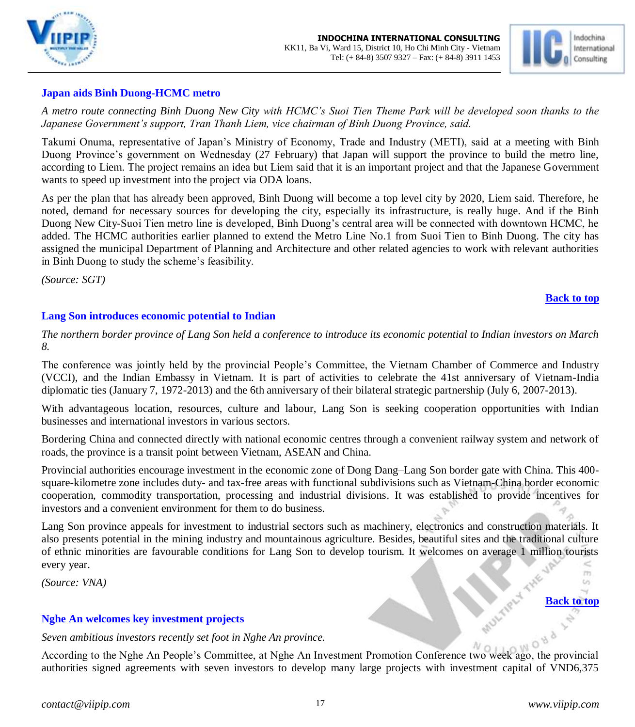



## <span id="page-17-0"></span>**Japan aids Binh Duong-HCMC metro**

*A metro route connecting Binh Duong New City with HCMC's Suoi Tien Theme Park will be developed soon thanks to the Japanese Government's support, Tran Thanh Liem, vice chairman of Binh Duong Province, said.*

Takumi Onuma, representative of Japan's Ministry of Economy, Trade and Industry (METI), said at a meeting with Binh Duong Province's government on Wednesday (27 February) that Japan will support the province to build the metro line, according to Liem. The project remains an idea but Liem said that it is an important project and that the Japanese Government wants to speed up investment into the project via ODA loans.

As per the plan that has already been approved, Binh Duong will become a top level city by 2020, Liem said. Therefore, he noted, demand for necessary sources for developing the city, especially its infrastructure, is really huge. And if the Binh Duong New City-Suoi Tien metro line is developed, Binh Duong's central area will be connected with downtown HCMC, he added. The HCMC authorities earlier planned to extend the Metro Line No.1 from Suoi Tien to Binh Duong. The city has assigned the municipal Department of Planning and Architecture and other related agencies to work with relevant authorities in Binh Duong to study the scheme's feasibility.

*(Source: SGT)*

## **Back to top**

## <span id="page-17-1"></span>**Lang Son introduces economic potential to Indian**

*The northern border province of Lang Son held a conference to introduce its economic potential to Indian investors on March 8.* 

The conference was jointly held by the provincial People's Committee, the Vietnam Chamber of Commerce and Industry (VCCI), and the Indian Embassy in Vietnam. It is part of activities to celebrate the 41st anniversary of Vietnam-India diplomatic ties (January 7, 1972-2013) and the 6th anniversary of their bilateral strategic partnership (July 6, 2007-2013).

With advantageous location, resources, culture and labour, Lang Son is seeking cooperation opportunities with Indian businesses and international investors in various sectors.

Bordering China and connected directly with national economic centres through a convenient railway system and network of roads, the province is a transit point between Vietnam, ASEAN and China.

Provincial authorities encourage investment in the economic zone of Dong Dang–Lang Son border gate with China. This 400 square-kilometre zone includes duty- and tax-free areas with functional subdivisions such as Vietnam-China border economic cooperation, commodity transportation, processing and industrial divisions. It was established to provide incentives for investors and a convenient environment for them to do business.

Lang Son province appeals for investment to industrial sectors such as machinery, electronics and construction materials. It also presents potential in the mining industry and mountainous agriculture. Besides, beautiful sites and the traditional culture of ethnic minorities are favourable conditions for Lang Son to develop tourism. It welcomes on average 1 million tourists every year.  $772$ 

*(Source: VNA)*

# <span id="page-17-2"></span>**Nghe An welcomes key investment projects**

## *Seven ambitious investors recently set foot in Nghe An province.*

According to the Nghe An People's Committee, at Nghe An Investment Promotion Conference two week ago, the provincial authorities signed agreements with seven investors to develop many large projects with investment capital of VND6,375

**Back to top**

 $\cup$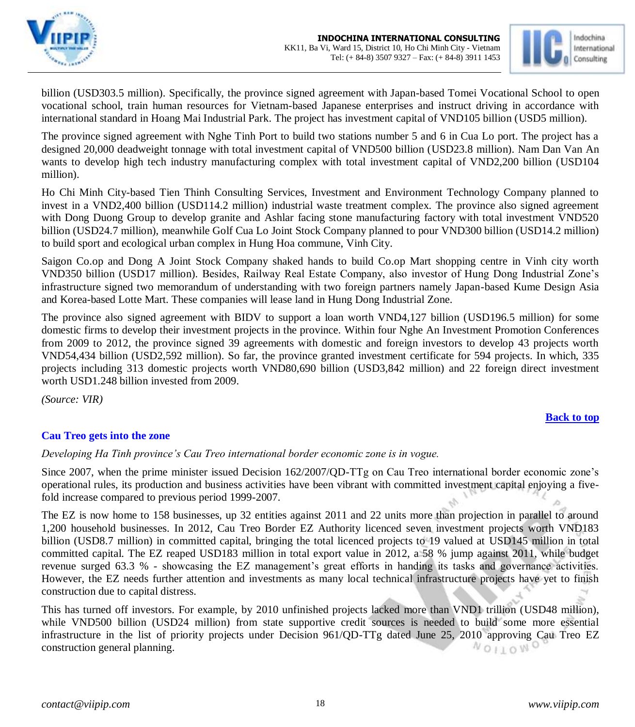



billion (USD303.5 million). Specifically, the province signed agreement with Japan-based Tomei Vocational School to open vocational school, train human resources for Vietnam-based Japanese enterprises and instruct driving in accordance with international standard in Hoang Mai Industrial Park. The project has investment capital of VND105 billion (USD5 million).

The province signed agreement with Nghe Tinh Port to build two stations number 5 and 6 in Cua Lo port. The project has a designed 20,000 deadweight tonnage with total investment capital of VND500 billion (USD23.8 million). Nam Dan Van An wants to develop high tech industry manufacturing complex with total investment capital of VND2,200 billion (USD104 million).

Ho Chi Minh City-based Tien Thinh Consulting Services, Investment and Environment Technology Company planned to invest in a VND2,400 billion (USD114.2 million) industrial waste treatment complex. The province also signed agreement with Dong Duong Group to develop granite and Ashlar facing stone manufacturing factory with total investment VND520 billion (USD24.7 million), meanwhile Golf Cua Lo Joint Stock Company planned to pour VND300 billion (USD14.2 million) to build sport and ecological urban complex in Hung Hoa commune, Vinh City.

Saigon Co.op and Dong A Joint Stock Company shaked hands to build Co.op Mart shopping centre in Vinh city worth VND350 billion (USD17 million). Besides, Railway Real Estate Company, also investor of Hung Dong Industrial Zone's infrastructure signed two memorandum of understanding with two foreign partners namely Japan-based Kume Design Asia and Korea-based Lotte Mart. These companies will lease land in Hung Dong Industrial Zone.

The province also signed agreement with BIDV to support a loan worth VND4,127 billion (USD196.5 million) for some domestic firms to develop their investment projects in the province. Within four Nghe An Investment Promotion Conferences from 2009 to 2012, the province signed 39 agreements with domestic and foreign investors to develop 43 projects worth VND54,434 billion (USD2,592 million). So far, the province granted investment certificate for 594 projects. In which, 335 projects including 313 domestic projects worth VND80,690 billion (USD3,842 million) and 22 foreign direct investment worth USD1.248 billion invested from 2009.

*(Source: VIR)*

## **Back to top**

## <span id="page-18-0"></span>**Cau Treo gets into the zone**

*Developing Ha Tinh province's Cau Treo international border economic zone is in vogue.*

Since 2007, when the prime minister issued Decision 162/2007/QD-TTg on Cau Treo international border economic zone's operational rules, its production and business activities have been vibrant with committed investment capital enjoying a fivefold increase compared to previous period 1999-2007.

The EZ is now home to 158 businesses, up 32 entities against 2011 and 22 units more than projection in parallel to around 1,200 household businesses. In 2012, Cau Treo Border EZ Authority licenced seven investment projects worth VND183 billion (USD8.7 million) in committed capital, bringing the total licenced projects to 19 valued at USD145 million in total committed capital. The EZ reaped USD183 million in total export value in 2012, a 58 % jump against 2011, while budget revenue surged 63.3 % - showcasing the EZ management's great efforts in handing its tasks and governance activities. However, the EZ needs further attention and investments as many local technical infrastructure projects have yet to finish construction due to capital distress.

This has turned off investors. For example, by 2010 unfinished projects lacked more than VND1 trillion (USD48 million), while VND500 billion (USD24 million) from state supportive credit sources is needed to build some more essential infrastructure in the list of priority projects under Decision 961/QD-TTg dated June 25, 2010 approving Cau Treo EZ construction general planning.NOILOWO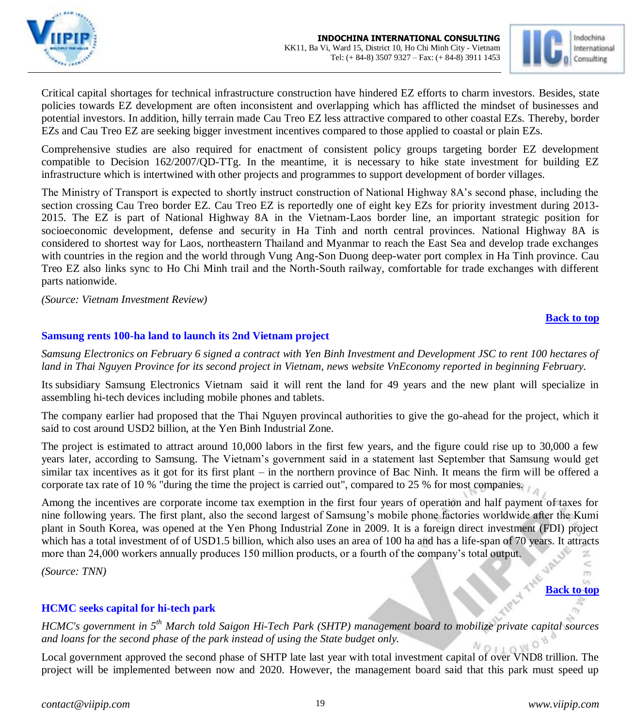



Critical capital shortages for technical infrastructure construction have hindered EZ efforts to charm investors. Besides, state policies towards EZ development are often inconsistent and overlapping which has afflicted the mindset of businesses and potential investors. In addition, hilly terrain made Cau Treo EZ less attractive compared to other coastal EZs. Thereby, border EZs and Cau Treo EZ are seeking bigger investment incentives compared to those applied to coastal or plain EZs.

Comprehensive studies are also required for enactment of consistent policy groups targeting border EZ development compatible to Decision 162/2007/QD-TTg. In the meantime, it is necessary to hike state investment for building EZ infrastructure which is intertwined with other projects and programmes to support development of border villages.

The Ministry of Transport is expected to shortly instruct construction of National Highway 8A's second phase, including the section crossing Cau Treo border EZ. Cau Treo EZ is reportedly one of eight key EZs for priority investment during 2013- 2015. The EZ is part of National Highway 8A in the Vietnam-Laos border line, an important strategic position for socioeconomic development, defense and security in Ha Tinh and north central provinces. National Highway 8A is considered to shortest way for Laos, northeastern Thailand and Myanmar to reach the East Sea and develop trade exchanges with countries in the region and the world through Vung Ang-Son Duong deep-water port complex in Ha Tinh province. Cau Treo EZ also links sync to Ho Chi Minh trail and the North-South railway, comfortable for trade exchanges with different parts nationwide.

*(Source: Vietnam Investment Review)*

# **Back to top**

# <span id="page-19-0"></span>**Samsung rents 100-ha land to launch its 2nd Vietnam project**

*Samsung Electronics on February 6 signed a contract with Yen Binh Investment and Development JSC to rent 100 hectares of land in Thai Nguyen Province for its second project in Vietnam, news website VnEconomy reported in beginning February.*

Its subsidiary Samsung Electronics Vietnam said it will rent the land for 49 years and the new plant will specialize in assembling hi-tech devices including mobile phones and tablets.

The company earlier had proposed that the Thai Nguyen provincal authorities to give the go-ahead for the project, which it said to cost around USD2 billion, at the Yen Binh Industrial Zone.

The project is estimated to attract around 10,000 labors in the first few years, and the figure could rise up to 30,000 a few years later, according to Samsung. The Vietnam's government said in a statement last September that Samsung would get similar tax incentives as it got for its first plant – in the northern province of Bac Ninh. It means the firm will be offered a corporate tax rate of 10 % "during the time the project is carried out", compared to 25 % for most companies.

Among the incentives are corporate income tax exemption in the first four years of operation and half payment of taxes for nine following years. The first plant, also the second largest of Samsung's mobile phone factories worldwide after the Kumi plant in South Korea, was opened at the Yen Phong Industrial Zone in 2009. It is a foreign direct investment (FDI) project which has a total investment of of USD1.5 billion, which also uses an area of 100 ha and has a life-span of 70 years. It attracts more than 24,000 workers annually produces 150 million products, or a fourth of the company's total output.

*(Source: TNN)*

# <span id="page-19-1"></span>**HCMC seeks capital for hi-tech park**

*HCMC's government in 5th March told Saigon Hi-Tech Park (SHTP) management board to mobilize private capital sources and loans for the second phase of the park instead of using the State budget only.*

Local government approved the second phase of SHTP late last year with total investment capital of over VND8 trillion. The project will be implemented between now and 2020. However, the management board said that this park must speed up

**Back to top**

 $\lt$ m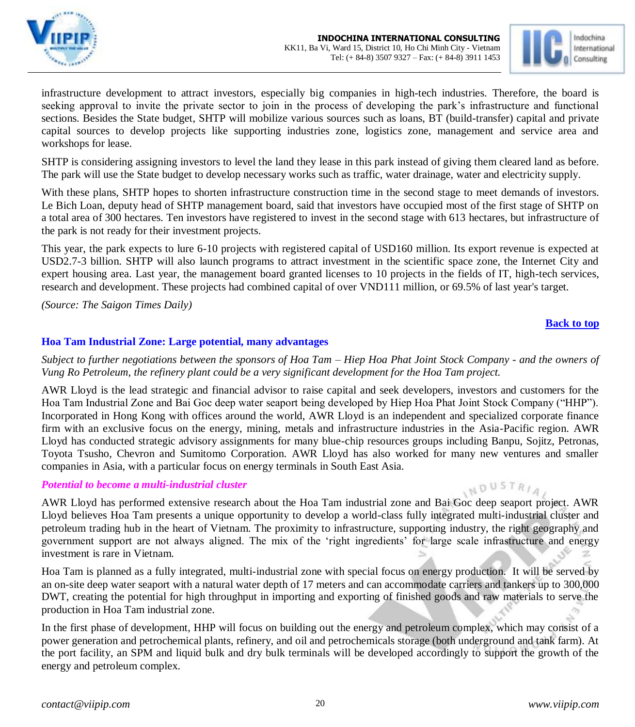



infrastructure development to attract investors, especially big companies in high-tech industries. Therefore, the board is seeking approval to invite the private sector to join in the process of developing the park's infrastructure and functional sections. Besides the State budget, SHTP will mobilize various sources such as loans, BT (build-transfer) capital and private capital sources to develop projects like supporting industries zone, logistics zone, management and service area and workshops for lease.

SHTP is considering assigning investors to level the land they lease in this park instead of giving them cleared land as before. The park will use the State budget to develop necessary works such as traffic, water drainage, water and electricity supply.

With these plans, SHTP hopes to shorten infrastructure construction time in the second stage to meet demands of investors. Le Bich Loan, deputy head of SHTP management board, said that investors have occupied most of the first stage of SHTP on a total area of 300 hectares. Ten investors have registered to invest in the second stage with 613 hectares, but infrastructure of the park is not ready for their investment projects.

This year, the park expects to lure 6-10 projects with registered capital of USD160 million. Its export revenue is expected at USD2.7-3 billion. SHTP will also launch programs to attract investment in the scientific space zone, the Internet City and expert housing area. Last year, the management board granted licenses to 10 projects in the fields of IT, high-tech services, research and development. These projects had combined capital of over VND111 million, or 69.5% of last year's target.

## *(Source: The Saigon Times Daily)*

## **Back to top**

## <span id="page-20-0"></span>**Hoa Tam Industrial Zone: Large potential, many advantages**

*Subject to further negotiations between the sponsors of Hoa Tam – Hiep Hoa Phat Joint Stock Company - and the owners of Vung Ro Petroleum, the refinery plant could be a very significant development for the Hoa Tam project.*

AWR Lloyd is the lead strategic and financial advisor to raise capital and seek developers, investors and customers for the Hoa Tam Industrial Zone and Bai Goc deep water seaport being developed by Hiep Hoa Phat Joint Stock Company ("HHP"). Incorporated in Hong Kong with offices around the world, AWR Lloyd is an independent and specialized corporate finance firm with an exclusive focus on the energy, mining, metals and infrastructure industries in the Asia-Pacific region. AWR Lloyd has conducted strategic advisory assignments for many blue-chip resources groups including Banpu, Sojitz, Petronas, Toyota Tsusho, Chevron and Sumitomo Corporation. AWR Lloyd has also worked for many new ventures and smaller companies in Asia, with a particular focus on energy terminals in South East Asia.

## *Potential to become a multi-industrial cluster*

INDUS AWR Lloyd has performed extensive research about the Hoa Tam industrial zone and Bai Goc deep seaport project. AWR Lloyd believes Hoa Tam presents a unique opportunity to develop a world-class fully integrated multi-industrial cluster and petroleum trading hub in the heart of Vietnam. The proximity to infrastructure, supporting industry, the right geography and government support are not always aligned. The mix of the 'right ingredients' for large scale infrastructure and energy investment is rare in Vietnam.

Hoa Tam is planned as a fully integrated, multi-industrial zone with special focus on energy production. It will be served by an on-site deep water seaport with a natural water depth of 17 meters and can accommodate carriers and tankers up to 300,000 DWT, creating the potential for high throughput in importing and exporting of finished goods and raw materials to serve the production in Hoa Tam industrial zone.

In the first phase of development, HHP will focus on building out the energy and petroleum complex, which may consist of a power generation and petrochemical plants, refinery, and oil and petrochemicals storage (both underground and tank farm). At the port facility, an SPM and liquid bulk and dry bulk terminals will be developed accordingly to support the growth of the energy and petroleum complex.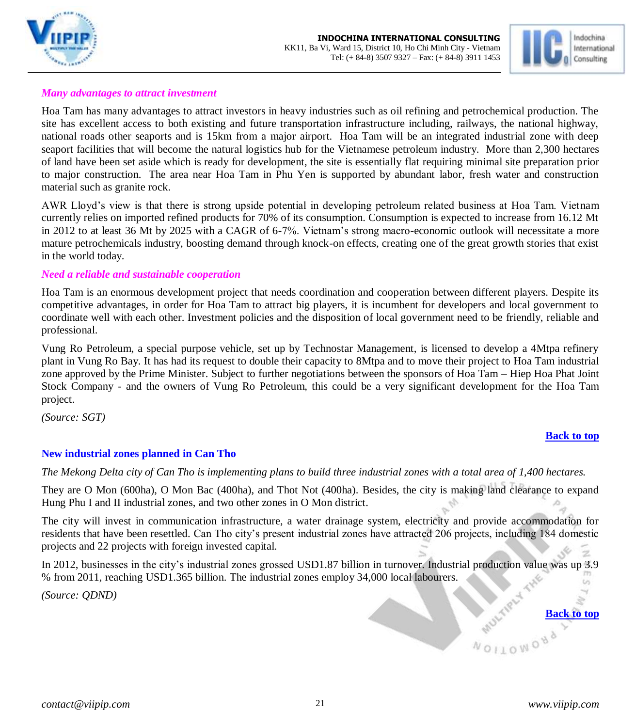



## *Many advantages to attract investment*

Hoa Tam has many advantages to attract investors in heavy industries such as oil refining and petrochemical production. The site has excellent access to both existing and future transportation infrastructure including, railways, the national highway, national roads other seaports and is 15km from a major airport. Hoa Tam will be an integrated industrial zone with deep seaport facilities that will become the natural logistics hub for the Vietnamese petroleum industry. More than 2,300 hectares of land have been set aside which is ready for development, the site is essentially flat requiring minimal site preparation prior to major construction. The area near Hoa Tam in Phu Yen is supported by abundant labor, fresh water and construction material such as granite rock.

AWR Lloyd's view is that there is strong upside potential in developing petroleum related business at Hoa Tam. Vietnam currently relies on imported refined products for 70% of its consumption. Consumption is expected to increase from 16.12 Mt in 2012 to at least 36 Mt by 2025 with a CAGR of 6-7%. Vietnam's strong macro-economic outlook will necessitate a more mature petrochemicals industry, boosting demand through knock-on effects, creating one of the great growth stories that exist in the world today.

#### *Need a reliable and sustainable cooperation*

Hoa Tam is an enormous development project that needs coordination and cooperation between different players. Despite its competitive advantages, in order for Hoa Tam to attract big players, it is incumbent for developers and local government to coordinate well with each other. Investment policies and the disposition of local government need to be friendly, reliable and professional.

Vung Ro Petroleum, a special purpose vehicle, set up by Technostar Management, is licensed to develop a 4Mtpa refinery plant in Vung Ro Bay. It has had its request to double their capacity to 8Mtpa and to move their project to Hoa Tam industrial zone approved by the Prime Minister. Subject to further negotiations between the sponsors of Hoa Tam – Hiep Hoa Phat Joint Stock Company - and the owners of Vung Ro Petroleum, this could be a very significant development for the Hoa Tam project.

*(Source: SGT)*

# **Back to top**

## <span id="page-21-0"></span>**New industrial zones planned in Can Tho**

*The Mekong Delta city of Can Tho is implementing plans to build three industrial zones with a total area of 1,400 hectares.*

They are O Mon (600ha), O Mon Bac (400ha), and Thot Not (400ha). Besides, the city is making land clearance to expand Hung Phu I and II industrial zones, and two other zones in O Mon district.

The city will invest in communication infrastructure, a water drainage system, electricity and provide accommodation for residents that have been resettled. Can Tho city's present industrial zones have attracted 206 projects, including 184 domestic projects and 22 projects with foreign invested capital.

In 2012, businesses in the city's industrial zones grossed USD1.87 billion in turnover. Industrial production value was up 3.9 % from 2011, reaching USD1.365 billion. The industrial zones employ 34,000 local labourers. U.

*(Source: QDND)*

NOITOMOAD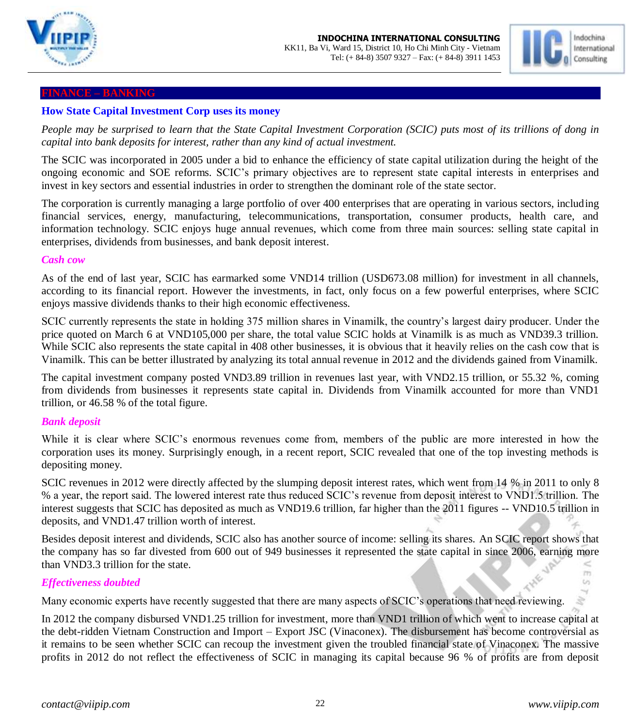



#### <span id="page-22-0"></span>**FINANCE – BANKING**

#### **How State Capital Investment Corp uses its money**

*People may be surprised to learn that the State Capital Investment Corporation (SCIC) puts most of its trillions of dong in capital into bank deposits for interest, rather than any kind of actual investment.*

The SCIC was incorporated in 2005 under a bid to enhance the efficiency of state capital utilization during the height of the ongoing economic and SOE reforms. SCIC's primary objectives are to represent state capital interests in enterprises and invest in key sectors and essential industries in order to strengthen the dominant role of the state sector.

The corporation is currently managing a large portfolio of over 400 enterprises that are operating in various sectors, including financial services, energy, manufacturing, telecommunications, transportation, consumer products, health care, and information technology. SCIC enjoys huge annual revenues, which come from three main sources: selling state capital in enterprises, dividends from businesses, and bank deposit interest.

#### *Cash cow*

As of the end of last year, SCIC has earmarked some VND14 trillion (USD673.08 million) for investment in all channels, according to its financial report. However the investments, in fact, only focus on a few powerful enterprises, where SCIC enjoys massive dividends thanks to their high economic effectiveness.

SCIC currently represents the state in holding 375 million shares in Vinamilk, the country's largest dairy producer. Under the price quoted on March 6 at VND105,000 per share, the total value SCIC holds at Vinamilk is as much as VND39.3 trillion. While SCIC also represents the state capital in 408 other businesses, it is obvious that it heavily relies on the cash cow that is Vinamilk. This can be better illustrated by analyzing its total annual revenue in 2012 and the dividends gained from Vinamilk.

The capital investment company posted VND3.89 trillion in revenues last year, with VND2.15 trillion, or 55.32 %, coming from dividends from businesses it represents state capital in. Dividends from Vinamilk accounted for more than VND1 trillion, or 46.58 % of the total figure.

#### *Bank deposit*

While it is clear where SCIC's enormous revenues come from, members of the public are more interested in how the corporation uses its money. Surprisingly enough, in a recent report, SCIC revealed that one of the top investing methods is depositing money.

SCIC revenues in 2012 were directly affected by the slumping deposit interest rates, which went from 14 % in 2011 to only 8 % a year, the report said. The lowered interest rate thus reduced SCIC's revenue from deposit interest to VND1.5 trillion. The interest suggests that SCIC has deposited as much as VND19.6 trillion, far higher than the 2011 figures -- VND10.5 trillion in deposits, and VND1.47 trillion worth of interest.

Besides deposit interest and dividends, SCIC also has another source of income: selling its shares. An SCIC report shows that the company has so far divested from 600 out of 949 businesses it represented the state capital in since 2006, earning more than VND3.3 trillion for the state. Ł  $r\dot{r}$ 

#### *Effectiveness doubted*

Many economic experts have recently suggested that there are many aspects of SCIC's operations that need reviewing.

In 2012 the company disbursed VND1.25 trillion for investment, more than VND1 trillion of which went to increase capital at the debt-ridden Vietnam Construction and Import – Export JSC (Vinaconex). The disbursement has become controversial as it remains to be seen whether SCIC can recoup the investment given the troubled financial state of Vinaconex. The massive profits in 2012 do not reflect the effectiveness of SCIC in managing its capital because 96 % of profits are from deposit

 $\cup$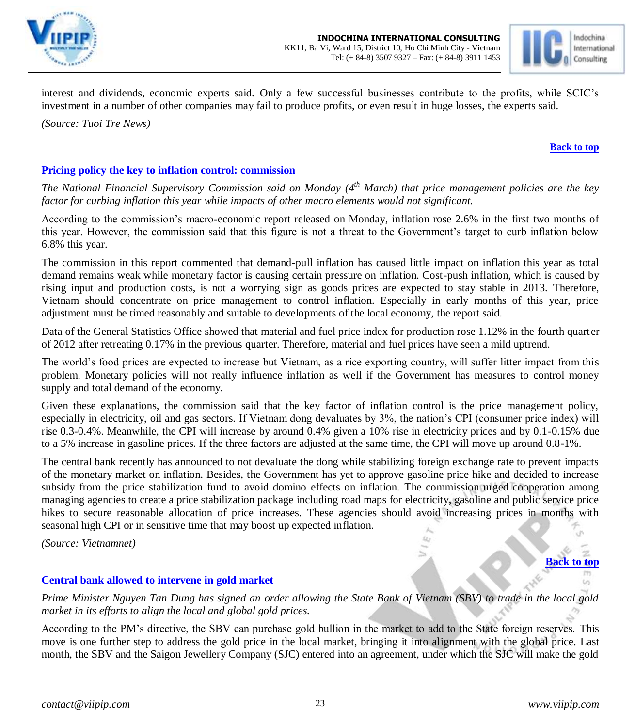



interest and dividends, economic experts said. Only a few successful businesses contribute to the profits, while SCIC's investment in a number of other companies may fail to produce profits, or even result in huge losses, the experts said.

*(Source: Tuoi Tre News)*

#### **Back to top**

# <span id="page-23-0"></span>**Pricing policy the key to inflation control: commission**

*The National Financial Supervisory Commission said on Monday (4th March) that price management policies are the key factor for curbing inflation this year while impacts of other macro elements would not significant.*

According to the commission's macro-economic report released on Monday, inflation rose 2.6% in the first two months of this year. However, the commission said that this figure is not a threat to the Government's target to curb inflation below 6.8% this year.

The commission in this report commented that demand-pull inflation has caused little impact on inflation this year as total demand remains weak while monetary factor is causing certain pressure on inflation. Cost-push inflation, which is caused by rising input and production costs, is not a worrying sign as goods prices are expected to stay stable in 2013. Therefore, Vietnam should concentrate on price management to control inflation. Especially in early months of this year, price adjustment must be timed reasonably and suitable to developments of the local economy, the report said.

Data of the General Statistics Office showed that material and fuel price index for production rose 1.12% in the fourth quarter of 2012 after retreating 0.17% in the previous quarter. Therefore, material and fuel prices have seen a mild uptrend.

The world's food prices are expected to increase but Vietnam, as a rice exporting country, will suffer litter impact from this problem. Monetary policies will not really influence inflation as well if the Government has measures to control money supply and total demand of the economy.

Given these explanations, the commission said that the key factor of inflation control is the price management policy, especially in electricity, oil and gas sectors. If Vietnam dong devaluates by 3%, the nation's CPI (consumer price index) will rise 0.3-0.4%. Meanwhile, the CPI will increase by around 0.4% given a 10% rise in electricity prices and by 0.1-0.15% due to a 5% increase in gasoline prices. If the three factors are adjusted at the same time, the CPI will move up around 0.8-1%.

The central bank recently has announced to not devaluate the dong while stabilizing foreign exchange rate to prevent impacts of the monetary market on inflation. Besides, the Government has yet to approve gasoline price hike and decided to increase subsidy from the price stabilization fund to avoid domino effects on inflation. The commission urged cooperation among managing agencies to create a price stabilization package including road maps for electricity, gasoline and public service price hikes to secure reasonable allocation of price increases. These agencies should avoid increasing prices in months with seasonal high CPI or in sensitive time that may boost up expected inflation.

*(Source: Vietnamnet)*

## <span id="page-23-1"></span>**Central bank allowed to intervene in gold market**

*Prime Minister Nguyen Tan Dung has signed an order allowing the State Bank of Vietnam (SBV) to trade in the local gold market in its efforts to align the local and global gold prices.*

According to the PM's directive, the SBV can purchase gold bullion in the market to add to the State foreign reserves. This move is one further step to address the gold price in the local market, bringing it into alignment with the global price. Last month, the SBV and the Saigon Jewellery Company (SJC) entered into an agreement, under which the SJC will make the gold

**Back to top**

 $\cup$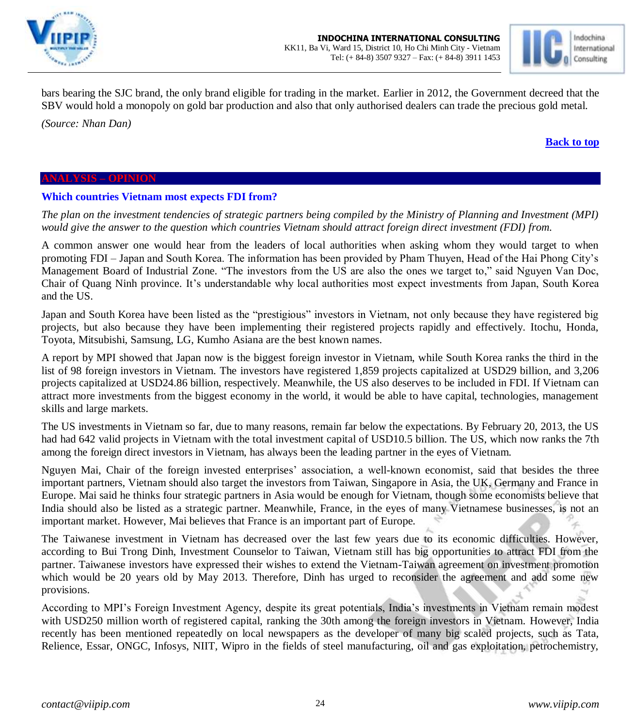



bars bearing the SJC brand, the only brand eligible for trading in the market. Earlier in 2012, the Government decreed that the SBV would hold a monopoly on gold bar production and also that only authorised dealers can trade the precious gold metal.

*(Source: Nhan Dan)*

#### **Back to top**

#### <span id="page-24-0"></span>**ANALYSIS – OPINION**

#### <span id="page-24-1"></span>**Which countries Vietnam most expects FDI from?**

*The plan on the investment tendencies of strategic partners being compiled by the Ministry of Planning and Investment (MPI) would give the answer to the question which countries Vietnam should attract foreign direct investment (FDI) from.*

A common answer one would hear from the leaders of local authorities when asking whom they would target to when promoting FDI – Japan and South Korea. The information has been provided by Pham Thuyen, Head of the Hai Phong City's Management Board of Industrial Zone. "The investors from the US are also the ones we target to," said Nguyen Van Doc, Chair of Quang Ninh province. It's understandable why local authorities most expect investments from Japan, South Korea and the US.

Japan and South Korea have been listed as the "prestigious" investors in Vietnam, not only because they have registered big projects, but also because they have been implementing their registered projects rapidly and effectively. Itochu, Honda, Toyota, Mitsubishi, Samsung, LG, Kumho Asiana are the best known names.

A report by MPI showed that Japan now is the biggest foreign investor in Vietnam, while South Korea ranks the third in the list of 98 foreign investors in Vietnam. The investors have registered 1,859 projects capitalized at USD29 billion, and 3,206 projects capitalized at USD24.86 billion, respectively. Meanwhile, the US also deserves to be included in FDI. If Vietnam can attract more investments from the biggest economy in the world, it would be able to have capital, technologies, management skills and large markets.

The US investments in Vietnam so far, due to many reasons, remain far below the expectations. By February 20, 2013, the US had had 642 valid projects in Vietnam with the total investment capital of USD10.5 billion. The US, which now ranks the 7th among the foreign direct investors in Vietnam, has always been the leading partner in the eyes of Vietnam.

Nguyen Mai, Chair of the foreign invested enterprises' association, a well-known economist, said that besides the three important partners, Vietnam should also target the investors from Taiwan, Singapore in Asia, the UK, Germany and France in Europe. Mai said he thinks four strategic partners in Asia would be enough for Vietnam, though some economists believe that India should also be listed as a strategic partner. Meanwhile, France, in the eyes of many Vietnamese businesses, is not an important market. However, Mai believes that France is an important part of Europe.

The Taiwanese investment in Vietnam has decreased over the last few years due to its economic difficulties. However, according to Bui Trong Dinh, Investment Counselor to Taiwan, Vietnam still has big opportunities to attract FDI from the partner. Taiwanese investors have expressed their wishes to extend the Vietnam-Taiwan agreement on investment promotion which would be 20 years old by May 2013. Therefore, Dinh has urged to reconsider the agreement and add some new provisions.

According to MPI's Foreign Investment Agency, despite its great potentials, India's investments in Vietnam remain modest with USD250 million worth of registered capital, ranking the 30th among the foreign investors in Vietnam. However, India recently has been mentioned repeatedly on local newspapers as the developer of many big scaled projects, such as Tata, Relience, Essar, ONGC, Infosys, NIIT, Wipro in the fields of steel manufacturing, oil and gas exploitation, petrochemistry,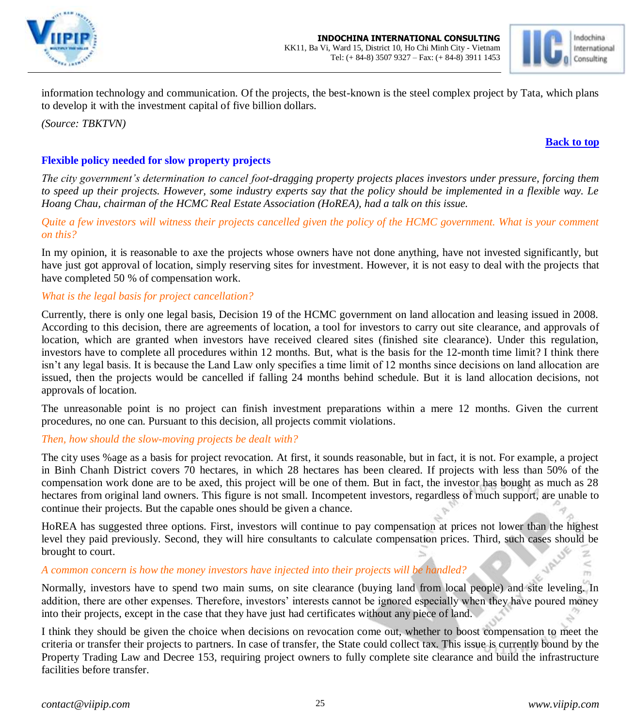



information technology and communication. Of the projects, the best-known is the steel complex project by Tata, which plans to develop it with the investment capital of five billion dollars.

*(Source: TBKTVN)*

#### **Back to top**

# <span id="page-25-0"></span>**Flexible policy needed for slow property projects**

*The city government's determination to cancel foot-dragging property projects places investors under pressure, forcing them to speed up their projects. However, some industry experts say that the policy should be implemented in a flexible way. Le Hoang Chau, chairman of the HCMC Real Estate Association (HoREA), had a talk on this issue.*

*Quite a few investors will witness their projects cancelled given the policy of the HCMC government. What is your comment on this?*

In my opinion, it is reasonable to axe the projects whose owners have not done anything, have not invested significantly, but have just got approval of location, simply reserving sites for investment. However, it is not easy to deal with the projects that have completed 50 % of compensation work.

# *What is the legal basis for project cancellation?*

Currently, there is only one legal basis, Decision 19 of the HCMC government on land allocation and leasing issued in 2008. According to this decision, there are agreements of location, a tool for investors to carry out site clearance, and approvals of location, which are granted when investors have received cleared sites (finished site clearance). Under this regulation, investors have to complete all procedures within 12 months. But, what is the basis for the 12-month time limit? I think there isn't any legal basis. It is because the Land Law only specifies a time limit of 12 months since decisions on land allocation are issued, then the projects would be cancelled if falling 24 months behind schedule. But it is land allocation decisions, not approvals of location.

The unreasonable point is no project can finish investment preparations within a mere 12 months. Given the current procedures, no one can. Pursuant to this decision, all projects commit violations.

## *Then, how should the slow-moving projects be dealt with?*

The city uses %age as a basis for project revocation. At first, it sounds reasonable, but in fact, it is not. For example, a project in Binh Chanh District covers 70 hectares, in which 28 hectares has been cleared. If projects with less than 50% of the compensation work done are to be axed, this project will be one of them. But in fact, the investor has bought as much as 28 hectares from original land owners. This figure is not small. Incompetent investors, regardless of much support, are unable to continue their projects. But the capable ones should be given a chance.

HoREA has suggested three options. First, investors will continue to pay compensation at prices not lower than the highest level they paid previously. Second, they will hire consultants to calculate compensation prices. Third, such cases should be brought to court.

# *A common concern is how the money investors have injected into their projects will be handled?*

Normally, investors have to spend two main sums, on site clearance (buying land from local people) and site leveling. In addition, there are other expenses. Therefore, investors' interests cannot be ignored especially when they have poured money into their projects, except in the case that they have just had certificates without any piece of land.

I think they should be given the choice when decisions on revocation come out, whether to boost compensation to meet the criteria or transfer their projects to partners. In case of transfer, the State could collect tax. This issue is currently bound by the Property Trading Law and Decree 153, requiring project owners to fully complete site clearance and build the infrastructure facilities before transfer.

Ł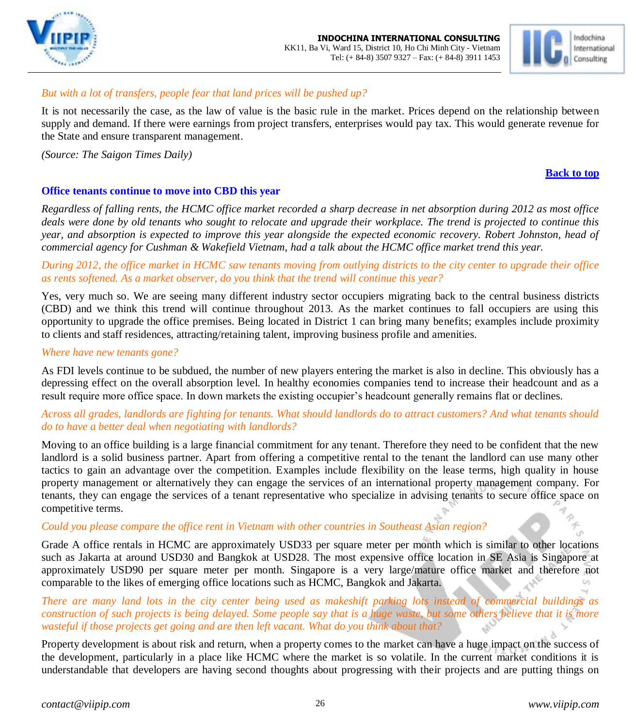



# *But with a lot of transfers, people fear that land prices will be pushed up?*

It is not necessarily the case, as the law of value is the basic rule in the market. Prices depend on the relationship between supply and demand. If there were earnings from project transfers, enterprises would pay tax. This would generate revenue for the State and ensure transparent management.

*(Source: The Saigon Times Daily)*

#### **Back to top**

## <span id="page-26-0"></span>**Office tenants continue to move into CBD this year**

*Regardless of falling rents, the HCMC office market recorded a sharp decrease in net absorption during 2012 as most office deals were done by old tenants who sought to relocate and upgrade their workplace. The trend is projected to continue this year, and absorption is expected to improve this year alongside the expected economic recovery. Robert Johnston, head of commercial agency for Cushman & Wakefield Vietnam, had a talk about the HCMC office market trend this year.*

## *During 2012, the office market in HCMC saw tenants moving from outlying districts to the city center to upgrade their office as rents softened. As a market observer, do you think that the trend will continue this year?*

Yes, very much so. We are seeing many different industry sector occupiers migrating back to the central business districts (CBD) and we think this trend will continue throughout 2013. As the market continues to fall occupiers are using this opportunity to upgrade the office premises. Being located in District 1 can bring many benefits; examples include proximity to clients and staff residences, attracting/retaining talent, improving business profile and amenities.

#### *Where have new tenants gone?*

As FDI levels continue to be subdued, the number of new players entering the market is also in decline. This obviously has a depressing effect on the overall absorption level. In healthy economies companies tend to increase their headcount and as a result require more office space. In down markets the existing occupier's headcount generally remains flat or declines.

# *Across all grades, landlords are fighting for tenants. What should landlords do to attract customers? And what tenants should do to have a better deal when negotiating with landlords?*

Moving to an office building is a large financial commitment for any tenant. Therefore they need to be confident that the new landlord is a solid business partner. Apart from offering a competitive rental to the tenant the landlord can use many other tactics to gain an advantage over the competition. Examples include flexibility on the lease terms, high quality in house property management or alternatively they can engage the services of an international property management company. For tenants, they can engage the services of a tenant representative who specialize in advising tenants to secure office space on competitive terms.

## *Could you please compare the office rent in Vietnam with other countries in Southeast Asian region?*

Grade A office rentals in HCMC are approximately USD33 per square meter per month which is similar to other locations such as Jakarta at around USD30 and Bangkok at USD28. The most expensive office location in SE Asia is Singapore at approximately USD90 per square meter per month. Singapore is a very large/mature office market and therefore not comparable to the likes of emerging office locations such as HCMC, Bangkok and Jakarta. U5

# *There are many land lots in the city center being used as makeshift parking lots instead of commercial buildings as construction of such projects is being delayed. Some people say that is a huge waste, but some others believe that it is more wasteful if those projects get going and are then left vacant. What do you think about that?*

Property development is about risk and return, when a property comes to the market can have a huge impact on the success of the development, particularly in a place like HCMC where the market is so volatile. In the current market conditions it is understandable that developers are having second thoughts about progressing with their projects and are putting things on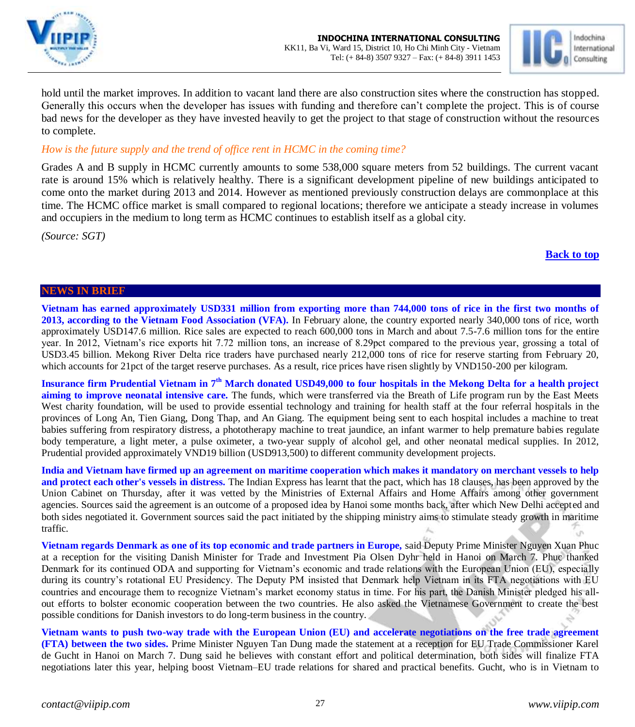



hold until the market improves. In addition to vacant land there are also construction sites where the construction has stopped. Generally this occurs when the developer has issues with funding and therefore can't complete the project. This is of course bad news for the developer as they have invested heavily to get the project to that stage of construction without the resources to complete.

## *How is the future supply and the trend of office rent in HCMC in the coming time?*

Grades A and B supply in HCMC currently amounts to some 538,000 square meters from 52 buildings. The current vacant rate is around 15% which is relatively healthy. There is a significant development pipeline of new buildings anticipated to come onto the market during 2013 and 2014. However as mentioned previously construction delays are commonplace at this time. The HCMC office market is small compared to regional locations; therefore we anticipate a steady increase in volumes and occupiers in the medium to long term as HCMC continues to establish itself as a global city.

*(Source: SGT)*

**Back to top**

#### <span id="page-27-0"></span>**NEWS IN BRIEF**

**Vietnam has earned approximately USD331 million from exporting more than 744,000 tons of rice in the first two months of 2013, according to the Vietnam Food Association (VFA).** In February alone, the country exported nearly 340,000 tons of rice, worth approximately USD147.6 million. Rice sales are expected to reach 600,000 tons in March and about 7.5-7.6 million tons for the entire year. In 2012, Vietnam's rice exports hit 7.72 million tons, an increase of 8.29pct compared to the previous year, grossing a total of USD3.45 billion. Mekong River Delta rice traders have purchased nearly 212,000 tons of rice for reserve starting from February 20, which accounts for 21pct of the target reserve purchases. As a result, rice prices have risen slightly by VND150-200 per kilogram.

**Insurance firm Prudential Vietnam in 7th March donated USD49,000 to four hospitals in the Mekong Delta for a health project aiming to improve neonatal intensive care.** The funds, which were transferred via the Breath of Life program run by the East Meets West charity foundation, will be used to provide essential technology and training for health staff at the four referral hospitals in the provinces of Long An, Tien Giang, Dong Thap, and An Giang. The equipment being sent to each hospital includes a machine to treat babies suffering from respiratory distress, a phototherapy machine to treat jaundice, an infant warmer to help premature babies regulate body temperature, a light meter, a pulse oximeter, a two-year supply of alcohol gel, and other neonatal medical supplies. In 2012, Prudential provided approximately VND19 billion (USD913,500) to different community development projects.

**India and Vietnam have firmed up an agreement on maritime cooperation which makes it mandatory on merchant vessels to help and protect each other's vessels in distress.** The Indian Express has learnt that the pact, which has 18 clauses, has been approved by the Union Cabinet on Thursday, after it was vetted by the Ministries of External Affairs and Home Affairs among other government agencies. Sources said the agreement is an outcome of a proposed idea by Hanoi some months back, after which New Delhi accepted and both sides negotiated it. Government sources said the pact initiated by the shipping ministry aims to stimulate steady growth in maritime traffic.

**Vietnam regards Denmark as one of its top economic and trade partners in Europe,** said Deputy Prime Minister Nguyen Xuan Phuc at a reception for the visiting Danish Minister for Trade and Investment Pia Olsen Dyhr held in Hanoi on March 7. Phuc thanked Denmark for its continued ODA and supporting for Vietnam's economic and trade relations with the European Union (EU), especially during its country's rotational EU Presidency. The Deputy PM insisted that Denmark help Vietnam in its FTA negotiations with EU countries and encourage them to recognize Vietnam's market economy status in time. For his part, the Danish Minister pledged his allout efforts to bolster economic cooperation between the two countries. He also asked the Vietnamese Government to create the best possible conditions for Danish investors to do long-term business in the country.

**Vietnam wants to push two-way trade with the European Union (EU) and accelerate negotiations on the free trade agreement (FTA) between the two sides.** Prime Minister Nguyen Tan Dung made the statement at a reception for EU Trade Commissioner Karel de Gucht in Hanoi on March 7. Dung said he believes with constant effort and political determination, both sides will finalize FTA negotiations later this year, helping boost Vietnam–EU trade relations for shared and practical benefits. Gucht, who is in Vietnam to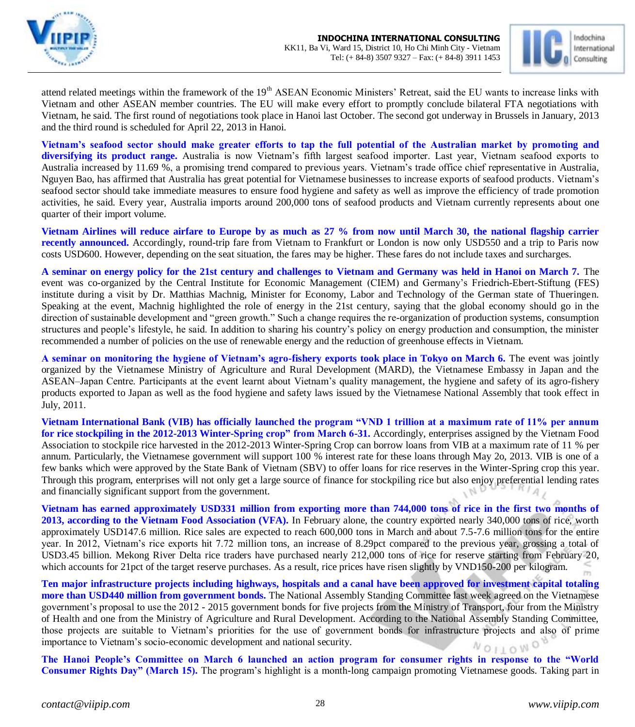



attend related meetings within the framework of the 19<sup>th</sup> ASEAN Economic Ministers' Retreat, said the EU wants to increase links with Vietnam and other ASEAN member countries. The EU will make every effort to promptly conclude bilateral FTA negotiations with Vietnam, he said. The first round of negotiations took place in Hanoi last October. The second got underway in Brussels in January, 2013 and the third round is scheduled for April 22, 2013 in Hanoi.

**Vietnam's seafood sector should make greater efforts to tap the full potential of the Australian market by promoting and diversifying its product range.** Australia is now Vietnam's fifth largest seafood importer. Last year, Vietnam seafood exports to Australia increased by 11.69 %, a promising trend compared to previous years. Vietnam's trade office chief representative in Australia, Nguyen Bao, has affirmed that Australia has great potential for Vietnamese businesses to increase exports of seafood products. Vietnam's seafood sector should take immediate measures to ensure food hygiene and safety as well as improve the efficiency of trade promotion activities, he said. Every year, Australia imports around 200,000 tons of seafood products and Vietnam currently represents about one quarter of their import volume.

**Vietnam Airlines will reduce airfare to Europe by as much as 27 % from now until March 30, the national flagship carrier recently announced.** Accordingly, round-trip fare from Vietnam to Frankfurt or London is now only USD550 and a trip to Paris now costs USD600. However, depending on the seat situation, the fares may be higher. These fares do not include taxes and surcharges.

**A seminar on energy policy for the 21st century and challenges to Vietnam and Germany was held in Hanoi on March 7.** The event was co-organized by the Central Institute for Economic Management (CIEM) and Germany's Friedrich-Ebert-Stiftung (FES) institute during a visit by Dr. Matthias Machnig, Minister for Economy, Labor and Technology of the German state of Thueringen. Speaking at the event, Machnig highlighted the role of energy in the 21st century, saying that the global economy should go in the direction of sustainable development and "green growth." Such a change requires the re-organization of production systems, consumption structures and people's lifestyle, he said. In addition to sharing his country's policy on energy production and consumption, the minister recommended a number of policies on the use of renewable energy and the reduction of greenhouse effects in Vietnam.

A seminar on monitoring the hygiene of Vietnam's agro-fishery exports took place in Tokyo on March 6. The event was jointly organized by the Vietnamese Ministry of Agriculture and Rural Development (MARD), the Vietnamese Embassy in Japan and the ASEAN–Japan Centre. Participants at the event learnt about Vietnam's quality management, the hygiene and safety of its agro-fishery products exported to Japan as well as the food hygiene and safety laws issued by the Vietnamese National Assembly that took effect in July, 2011.

**Vietnam International Bank (VIB) has officially launched the program "VND 1 trillion at a maximum rate of 11% per annum for rice stockpiling in the 2012-2013 Winter-Spring crop" from March 6-31.** Accordingly, enterprises assigned by the Vietnam Food Association to stockpile rice harvested in the 2012-2013 Winter-Spring Crop can borrow loans from VIB at a maximum rate of 11 % per annum. Particularly, the Vietnamese government will support 100 % interest rate for these loans through May 2o, 2013. VIB is one of a few banks which were approved by the State Bank of Vietnam (SBV) to offer loans for rice reserves in the Winter-Spring crop this year. Through this program, enterprises will not only get a large source of finance for stockpiling rice but also enjoy preferential lending rates and financially significant support from the government.

**Vietnam has earned approximately USD331 million from exporting more than 744,000 tons of rice in the first two months of 2013, according to the Vietnam Food Association (VFA).** In February alone, the country exported nearly 340,000 tons of rice, worth approximately USD147.6 million. Rice sales are expected to reach 600,000 tons in March and about 7.5-7.6 million tons for the entire year. In 2012, Vietnam's rice exports hit 7.72 million tons, an increase of 8.29pct compared to the previous year, grossing a total of USD3.45 billion. Mekong River Delta rice traders have purchased nearly 212,000 tons of rice for reserve starting from February 20, which accounts for 21pct of the target reserve purchases. As a result, rice prices have risen slightly by VND150-200 per kilogram.

**Ten major infrastructure projects including highways, hospitals and a canal have been approved for investment capital totaling more than USD440 million from government bonds.** The National Assembly Standing Committee last week agreed on the Vietnamese government's proposal to use the 2012 - 2015 government bonds for five projects from the Ministry of Transport, four from the Ministry of Health and one from the Ministry of Agriculture and Rural Development. According to the National Assembly Standing Committee, those projects are suitable to Vietnam's priorities for the use of government bonds for infrastructure projects and also of prime importance to Vietnam's socio-economic development and national security.  $NQHOM$ 

**The Hanoi People's Committee on March 6 launched an action program for consumer rights in response to the "World Consumer Rights Day" (March 15).** The program's highlight is a month-long campaign promoting Vietnamese goods. Taking part in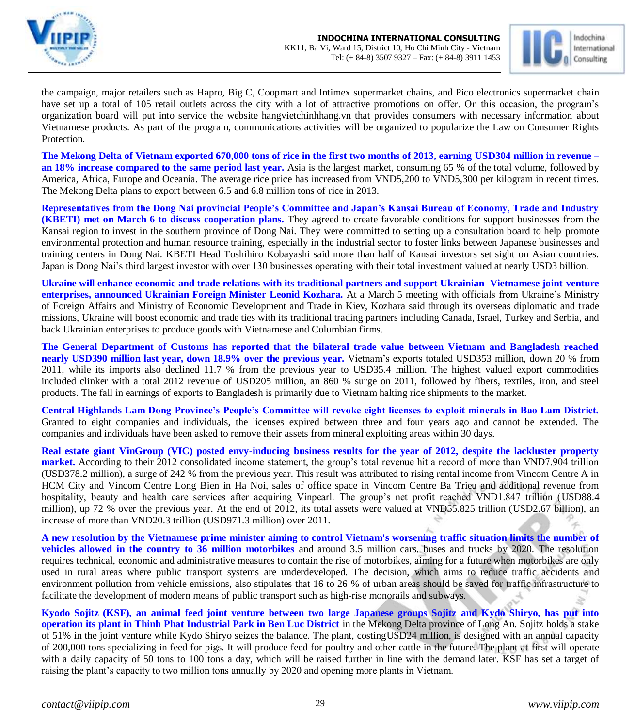



the campaign, major retailers such as Hapro, Big C, Coopmart and Intimex supermarket chains, and Pico electronics supermarket chain have set up a total of 105 retail outlets across the city with a lot of attractive promotions on offer. On this occasion, the program's organization board will put into service the website hangvietchinhhang.vn that provides consumers with necessary information about Vietnamese products. As part of the program, communications activities will be organized to popularize the Law on Consumer Rights Protection.

**The Mekong Delta of Vietnam exported 670,000 tons of rice in the first two months of 2013, earning USD304 million in revenue – an 18% increase compared to the same period last year.** Asia is the largest market, consuming 65 % of the total volume, followed by America, Africa, Europe and Oceania. The average rice price has increased from VND5,200 to VND5,300 per kilogram in recent times. The Mekong Delta plans to export between 6.5 and 6.8 million tons of rice in 2013.

**Representatives from the Dong Nai provincial People's Committee and Japan's Kansai Bureau of Economy, Trade and Industry (KBETI) met on March 6 to discuss cooperation plans.** They agreed to create favorable conditions for support businesses from the Kansai region to invest in the southern province of Dong Nai. They were committed to setting up a consultation board to help promote environmental protection and human resource training, especially in the industrial sector to foster links between Japanese businesses and training centers in Dong Nai. KBETI Head Toshihiro Kobayashi said more than half of Kansai investors set sight on Asian countries. Japan is Dong Nai's third largest investor with over 130 businesses operating with their total investment valued at nearly USD3 billion.

**Ukraine will enhance economic and trade relations with its traditional partners and support Ukrainian–Vietnamese joint-venture enterprises, announced Ukrainian Foreign Minister Leonid Kozhara.** At a March 5 meeting with officials from Ukraine's Ministry of Foreign Affairs and Ministry of Economic Development and Trade in Kiev, Kozhara said through its overseas diplomatic and trade missions, Ukraine will boost economic and trade ties with its traditional trading partners including Canada, Israel, Turkey and Serbia, and back Ukrainian enterprises to produce goods with Vietnamese and Columbian firms.

**The General Department of Customs has reported that the bilateral trade value between Vietnam and Bangladesh reached nearly USD390 million last year, down 18.9% over the previous year.** Vietnam's exports totaled USD353 million, down 20 % from 2011, while its imports also declined 11.7 % from the previous year to USD35.4 million. The highest valued export commodities included clinker with a total 2012 revenue of USD205 million, an 860 % surge on 2011, followed by fibers, textiles, iron, and steel products. The fall in earnings of exports to Bangladesh is primarily due to Vietnam halting rice shipments to the market.

**Central Highlands Lam Dong Province's People's Committee will revoke eight licenses to exploit minerals in Bao Lam District.** Granted to eight companies and individuals, the licenses expired between three and four years ago and cannot be extended. The companies and individuals have been asked to remove their assets from mineral exploiting areas within 30 days.

**Real estate giant VinGroup (VIC) posted envy-inducing business results for the year of 2012, despite the lackluster property market.** According to their 2012 consolidated income statement, the group's total revenue hit a record of more than VND7.904 trillion (USD378.2 million), a surge of 242 % from the previous year. This result was attributed to rising rental income from Vincom Centre A in HCM City and Vincom Centre Long Bien in Ha Noi, sales of office space in Vincom Centre Ba Trieu and additional revenue from hospitality, beauty and health care services after acquiring Vinpearl. The group's net profit reached VND1.847 trillion (USD88.4) million), up 72 % over the previous year. At the end of 2012, its total assets were valued at VND55.825 trillion (USD2.67 billion), an increase of more than VND20.3 trillion (USD971.3 million) over 2011.

**A new resolution by the Vietnamese prime minister aiming to control Vietnam's worsening traffic situation limits the number of vehicles allowed in the country to 36 million motorbikes** and around 3.5 million cars, buses and trucks by 2020. The resolution requires technical, economic and administrative measures to contain the rise of motorbikes, aiming for a future when motorbikes are only used in rural areas where public transport systems are underdeveloped. The decision, which aims to reduce traffic accidents and environment pollution from vehicle emissions, also stipulates that 16 to 26 % of urban areas should be saved for traffic infrastructure to facilitate the development of modern means of public transport such as high-rise monorails and subways.

**Kyodo Sojitz (KSF), an animal feed joint venture between two large Japanese groups Sojitz and Kydo Shiryo, has put into operation its plant in Thinh Phat Industrial Park in Ben Luc District** in the Mekong Delta province of Long An. Sojitz holds a stake of 51% in the joint venture while Kydo Shiryo seizes the balance. The plant, costingUSD24 million, is designed with an annual capacity of 200,000 tons specializing in feed for pigs. It will produce feed for poultry and other cattle in the future. The plant at first will operate with a daily capacity of 50 tons to 100 tons a day, which will be raised further in line with the demand later. KSF has set a target of raising the plant's capacity to two million tons annually by 2020 and opening more plants in Vietnam.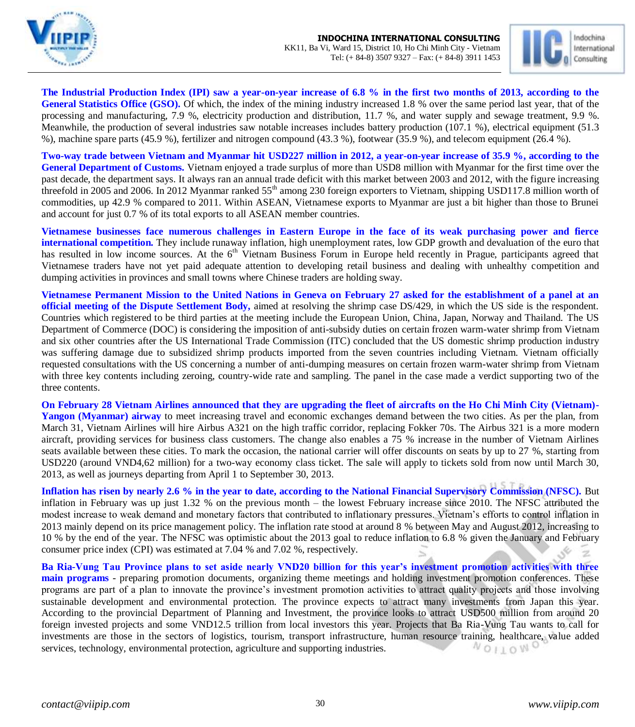



**The Industrial Production Index (IPI) saw a year-on-year increase of 6.8 % in the first two months of 2013, according to the General Statistics Office (GSO).** Of which, the index of the mining industry increased 1.8 % over the same period last year, that of the processing and manufacturing, 7.9 %, electricity production and distribution, 11.7 %, and water supply and sewage treatment, 9.9 %. Meanwhile, the production of several industries saw notable increases includes battery production (107.1 %), electrical equipment (51.3 %), machine spare parts (45.9 %), fertilizer and nitrogen compound (43.3 %), footwear (35.9 %), and telecom equipment (26.4 %).

**Two-way trade between Vietnam and Myanmar hit USD227 million in 2012, a year-on-year increase of 35.9 %, according to the General Department of Customs.** Vietnam enjoyed a trade surplus of more than USD8 million with Myanmar for the first time over the past decade, the department says. It always ran an annual trade deficit with this market between 2003 and 2012, with the figure increasing threefold in 2005 and 2006. In 2012 Myanmar ranked 55<sup>th</sup> among 230 foreign exporters to Vietnam, shipping USD117.8 million worth of commodities, up 42.9 % compared to 2011. Within ASEAN, Vietnamese exports to Myanmar are just a bit higher than those to Brunei and account for just 0.7 % of its total exports to all ASEAN member countries.

**Vietnamese businesses face numerous challenges in Eastern Europe in the face of its weak purchasing power and fierce international competition.** They include runaway inflation, high unemployment rates, low GDP growth and devaluation of the euro that has resulted in low income sources. At the 6<sup>th</sup> Vietnam Business Forum in Europe held recently in Prague, participants agreed that Vietnamese traders have not yet paid adequate attention to developing retail business and dealing with unhealthy competition and dumping activities in provinces and small towns where Chinese traders are holding sway.

**Vietnamese Permanent Mission to the United Nations in Geneva on February 27 asked for the establishment of a panel at an official meeting of the Dispute Settlement Body,** aimed at resolving the shrimp case DS/429, in which the US side is the respondent. Countries which registered to be third parties at the meeting include the European Union, China, Japan, Norway and Thailand. The US Department of Commerce (DOC) is considering the imposition of anti-subsidy duties on certain frozen warm-water shrimp from Vietnam and six other countries after the US International Trade Commission (ITC) concluded that the US domestic shrimp production industry was suffering damage due to subsidized shrimp products imported from the seven countries including Vietnam. Vietnam officially requested consultations with the US concerning a number of anti-dumping measures on certain frozen warm-water shrimp from Vietnam with three key contents including zeroing, country-wide rate and sampling. The panel in the case made a verdict supporting two of the three contents.

**On February 28 Vietnam Airlines announced that they are upgrading the fleet of aircrafts on the Ho Chi Minh City (Vietnam)- Yangon (Myanmar) airway** to meet increasing travel and economic exchanges demand between the two cities. As per the plan, from March 31, Vietnam Airlines will hire Airbus A321 on the high traffic corridor, replacing Fokker 70s. The Airbus 321 is a more modern aircraft, providing services for business class customers. The change also enables a 75 % increase in the number of Vietnam Airlines seats available between these cities. To mark the occasion, the national carrier will offer discounts on seats by up to 27 %, starting from USD220 (around VND4,62 million) for a two-way economy class ticket. The sale will apply to tickets sold from now until March 30, 2013, as well as journeys departing from April 1 to September 30, 2013.

**Inflation has risen by nearly 2.6 % in the year to date, according to the National Financial Supervisory Commission (NFSC).** But inflation in February was up just 1.32 % on the previous month – the lowest February increase since 2010. The NFSC attributed the modest increase to weak demand and monetary factors that contributed to inflationary pressures. Vietnam's efforts to control inflation in 2013 mainly depend on its price management policy. The inflation rate stood at around 8 % between May and August 2012, increasing to 10 % by the end of the year. The NFSC was optimistic about the 2013 goal to reduce inflation to 6.8 % given the January and February consumer price index (CPI) was estimated at 7.04 % and 7.02 %, respectively.

**Ba Ria-Vung Tau Province plans to set aside nearly VND20 billion for this year's investment promotion activities with three main programs** - preparing promotion documents, organizing theme meetings and holding investment promotion conferences. These programs are part of a plan to innovate the province's investment promotion activities to attract quality projects and those involving sustainable development and environmental protection. The province expects to attract many investments from Japan this year. According to the provincial Department of Planning and Investment, the province looks to attract USD500 million from around 20 foreign invested projects and some VND12.5 trillion from local investors this year. Projects that Ba Ria-Vung Tau wants to call for investments are those in the sectors of logistics, tourism, transport infrastructure, human resource training, healthcare, value added services, technology, environmental protection, agriculture and supporting industries. $N$  O  $11$  O  $N$  O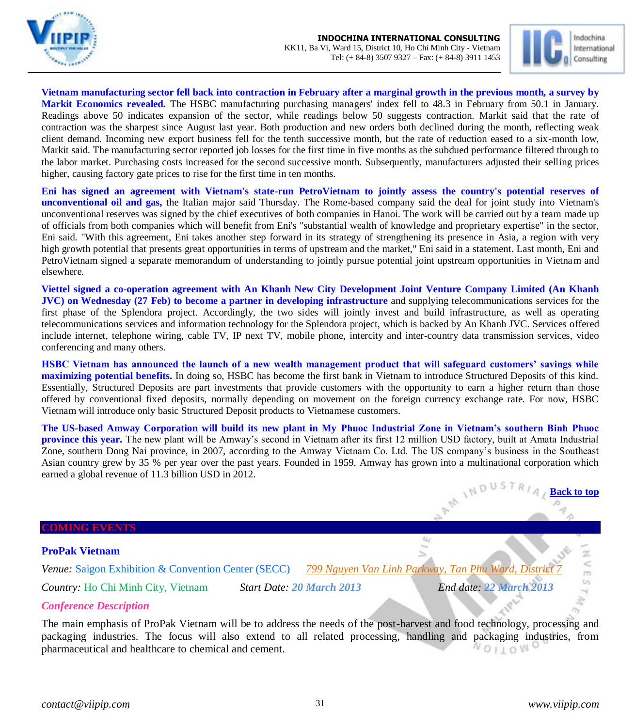



**Vietnam manufacturing sector fell back into contraction in February after a marginal growth in the previous month, a survey by Markit Economics revealed.** The HSBC manufacturing purchasing managers' index fell to 48.3 in February from 50.1 in January. Readings above 50 indicates expansion of the sector, while readings below 50 suggests contraction. Markit said that the rate of contraction was the sharpest since August last year. Both production and new orders both declined during the month, reflecting weak client demand. Incoming new export business fell for the tenth successive month, but the rate of reduction eased to a six-month low, Markit said. The manufacturing sector reported job losses for the first time in five months as the subdued performance filtered through to the labor market. Purchasing costs increased for the second successive month. Subsequently, manufacturers adjusted their selling prices higher, causing factory gate prices to rise for the first time in ten months.

**Eni has signed an agreement with Vietnam's state-run PetroVietnam to jointly assess the country's potential reserves of unconventional oil and gas,** the Italian major said Thursday. The Rome-based company said the deal for joint study into Vietnam's unconventional reserves was signed by the chief executives of both companies in Hanoi. The work will be carried out by a team made up of officials from both companies which will benefit from Eni's "substantial wealth of knowledge and proprietary expertise" in the sector, Eni said. "With this agreement, Eni takes another step forward in its strategy of strengthening its presence in Asia, a region with very high growth potential that presents great opportunities in terms of upstream and the market," Eni said in a statement. Last month, Eni and PetroVietnam signed a separate memorandum of understanding to jointly pursue potential joint upstream opportunities in Vietnam and elsewhere.

**Viettel signed a co-operation agreement with An Khanh New City Development Joint Venture Company Limited (An Khanh JVC)** on Wednesday (27 Feb) to become a partner in developing infrastructure and supplying telecommunications services for the first phase of the Splendora project. Accordingly, the two sides will jointly invest and build infrastructure, as well as operating telecommunications services and information technology for the Splendora project, which is backed by An Khanh JVC. Services offered include internet, telephone wiring, cable TV, IP next TV, mobile phone, intercity and inter-country data transmission services, video conferencing and many others.

**HSBC Vietnam has announced the launch of a new wealth management product that will safeguard customers' savings while maximizing potential benefits.** In doing so, HSBC has become the first bank in Vietnam to introduce Structured Deposits of this kind. Essentially, Structured Deposits are part investments that provide customers with the opportunity to earn a higher return than those offered by conventional fixed deposits, normally depending on movement on the foreign currency exchange rate. For now, HSBC Vietnam will introduce only basic Structured Deposit products to Vietnamese customers.

**The US-based Amway Corporation will build its new plant in My Phuoc Industrial Zone in Vietnam's southern Binh Phuoc province this year.** The new plant will be Amway's second in Vietnam after its first 12 million USD factory, built at Amata Industrial Zone, southern Dong Nai province, in 2007, according to the Amway Vietnam Co. Ltd. The US company's business in the Southeast Asian country grew by 35 % per year over the past years. Founded in 1959, Amway has grown into a multinational corporation which earned a global revenue of 11.3 billion USD in 2012. NDUS

#### <span id="page-31-0"></span>**COMING EVENTS**

## <span id="page-31-1"></span>**ProPak Vietnam**

*Venue:* Saigon Exhibition & Convention Center (SECC) 799 Nguyen Van Linh Parkway, Tan Phu Ward, *Country:* Ho Chi Minh City, Vietnam *Start Date: 20 March 2013 End date: 22 March 2013*

#### *Conference Description*

The main emphasis of ProPak Vietnam will be to address the needs of the post-harvest and food technology, processing and packaging industries. The focus will also extend to all related processing, handling and packaging industries, from pharmaceutical and healthcare to chemical and cement. $N$  O I I O W  $C$ 

**Back to top**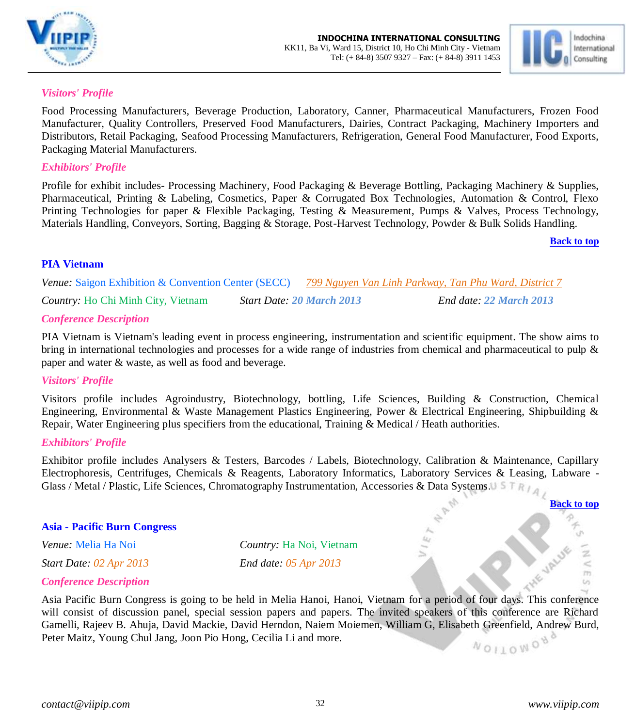



# *Visitors' Profile*

Food Processing Manufacturers, Beverage Production, Laboratory, Canner, Pharmaceutical Manufacturers, Frozen Food Manufacturer, Quality Controllers, Preserved Food Manufacturers, Dairies, Contract Packaging, Machinery Importers and Distributors, Retail Packaging, Seafood Processing Manufacturers, Refrigeration, General Food Manufacturer, Food Exports, Packaging Material Manufacturers.

# *Exhibitors' Profile*

Profile for exhibit includes- Processing Machinery, Food Packaging & Beverage Bottling, Packaging Machinery & Supplies, Pharmaceutical, Printing & Labeling, Cosmetics, Paper & Corrugated Box Technologies, Automation & Control, Flexo Printing Technologies for paper & Flexible Packaging, Testing & Measurement, Pumps & Valves, Process Technology, Materials Handling, Conveyors, Sorting, Bagging & Storage, Post-Harvest Technology, Powder & Bulk Solids Handling.

**Back to top**

# <span id="page-32-0"></span>**PIA Vietnam**

*Venue:* Saigon Exhibition & Convention Center (SECC) *799 Nguyen Van Linh Parkway, Tan Phu Ward, District 7 Country:* Ho Chi Minh City, Vietnam *Start Date: 20 March 2013 End date: 22 March 2013*

*Conference Description*

PIA Vietnam is Vietnam's leading event in process engineering, instrumentation and scientific equipment. The show aims to bring in international technologies and processes for a wide range of industries from chemical and pharmaceutical to pulp & paper and water & waste, as well as food and beverage.

# *Visitors' Profile*

Visitors profile includes Agroindustry, Biotechnology, bottling, Life Sciences, Building & Construction, Chemical Engineering, Environmental & Waste Management Plastics Engineering, Power & Electrical Engineering, Shipbuilding & Repair, Water Engineering plus specifiers from the educational, Training & Medical / Heath authorities.

# *Exhibitors' Profile*

Exhibitor profile includes Analysers & Testers, Barcodes / Labels, Biotechnology, Calibration & Maintenance, Capillary Electrophoresis, Centrifuges, Chemicals & Reagents, Laboratory Informatics, Laboratory Services & Leasing, Labware - Glass / Metal / Plastic, Life Sciences, Chromatography Instrumentation, Accessories & Data Systems. J S T R /

## <span id="page-32-1"></span>**Asia - Pacific Burn Congress**

*Start Date: 02 Apr 2013 End date: 05 Apr 2013*

*Venue:* Melia Ha Noi *Country:* Ha Noi, Vietnam

# *Conference Description*

Asia Pacific Burn Congress is going to be held in Melia Hanoi, Hanoi, Vietnam for a period of four days. This conference will consist of discussion panel, special session papers and papers. The invited speakers of this conference are Richard Gamelli, Rajeev B. Ahuja, David Mackie, David Herndon, Naiem Moiemen, William G, Elisabeth Greenfield, Andrew Burd, WOILOWOUD Peter Maitz, Young Chul Jang, Joon Pio Hong, Cecilia Li and more.

**Back to top**

z  $\lt$  $\overline{m}$  $\cup$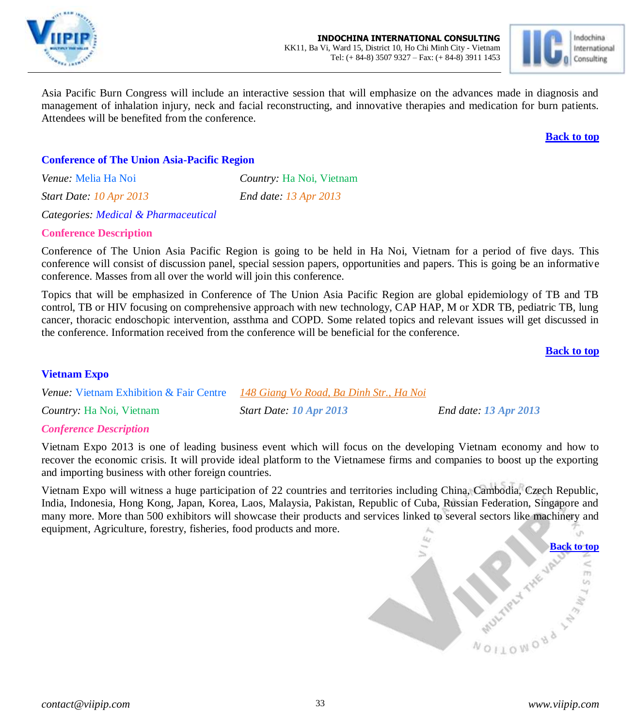



Asia Pacific Burn Congress will include an interactive session that will emphasize on the advances made in diagnosis and management of inhalation injury, neck and facial reconstructing, and innovative therapies and medication for burn patients. Attendees will be benefited from the conference.

**Back to top**

# <span id="page-33-0"></span>**Conference of The Union Asia-Pacific Region**

*Venue:* Melia Ha Noi *Country:* Ha Noi, Vietnam *Start Date: 10 Apr 2013 End date: 13 Apr 2013 Categories: Medical & Pharmaceutical*

**Conference Description**

Conference of The Union Asia Pacific Region is going to be held in Ha Noi, Vietnam for a period of five days. This conference will consist of discussion panel, special session papers, opportunities and papers. This is going be an informative conference. Masses from all over the world will join this conference.

Topics that will be emphasized in Conference of The Union Asia Pacific Region are global epidemiology of TB and TB control, TB or HIV focusing on comprehensive approach with new technology, CAP HAP, M or XDR TB, pediatric TB, lung cancer, thoracic endoschopic intervention, assthma and COPD. Some related topics and relevant issues will get discussed in the conference. Information received from the conference will be beneficial for the conference.

**Back to top**

**Back to top**

## <span id="page-33-1"></span>**Vietnam Expo**

| Venue: Vietnam Exhibition & Fair Centre 148 Giang Vo Road, Ba Dinh Str., Ha Noi |                         |                       |
|---------------------------------------------------------------------------------|-------------------------|-----------------------|
| <i>Country:</i> Ha Noi, Vietnam                                                 | Start Date: 10 Apr 2013 | End date: 13 Apr 2013 |

## *Conference Description*

Vietnam Expo 2013 is one of leading business event which will focus on the developing Vietnam economy and how to recover the economic crisis. It will provide ideal platform to the Vietnamese firms and companies to boost up the exporting and importing business with other foreign countries.

Vietnam Expo will witness a huge participation of 22 countries and territories including China, Cambodia, Czech Republic, India, Indonesia, Hong Kong, Japan, Korea, Laos, Malaysia, Pakistan, Republic of Cuba, Russian Federation, Singapore and many more. More than 500 exhibitors will showcase their products and services linked to several sectors like machinery and equipment, Agriculture, forestry, fisheries, food products and more.

NOITOMOAD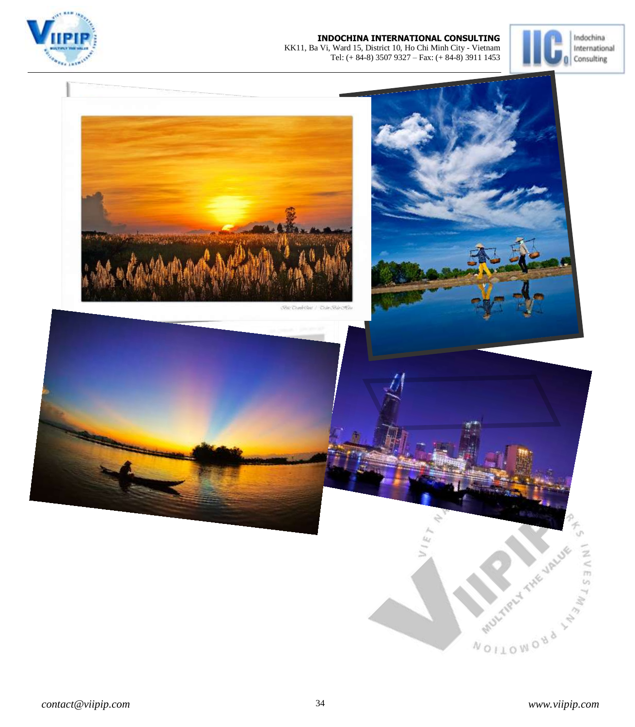

#### **INDOCHINA INTERNATIONAL CONSULTING**  KK11, Ba Vi, Ward 15, District 10, Ho Chi Minh City - Vietnam Tel: (+ 84-8) 3507 9327 – Fax: (+ 84-8) 3911 1453